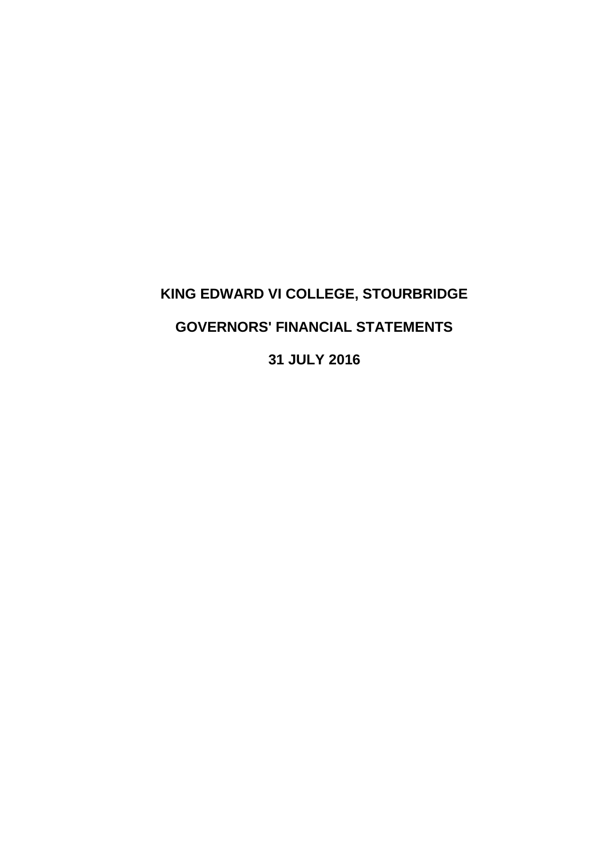# **KING EDWARD VI COLLEGE, STOURBRIDGE GOVERNORS' FINANCIAL STATEMENTS 31 JULY 2016**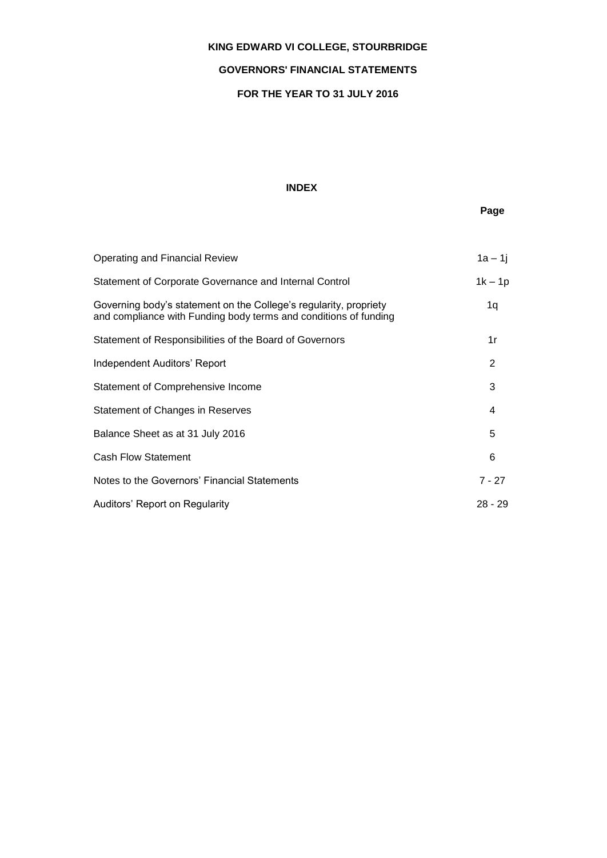# **GOVERNORS' FINANCIAL STATEMENTS**

# **FOR THE YEAR TO 31 JULY 2016**

# **INDEX**

# **Page**

| Operating and Financial Review                                                                                                        | $1a - 1j$ |
|---------------------------------------------------------------------------------------------------------------------------------------|-----------|
| Statement of Corporate Governance and Internal Control                                                                                | $1k - 1p$ |
| Governing body's statement on the College's regularity, propriety<br>and compliance with Funding body terms and conditions of funding | 1q        |
| Statement of Responsibilities of the Board of Governors                                                                               | 1r        |
| Independent Auditors' Report                                                                                                          | 2         |
| Statement of Comprehensive Income                                                                                                     | 3         |
| Statement of Changes in Reserves                                                                                                      | 4         |
| Balance Sheet as at 31 July 2016                                                                                                      | 5         |
| <b>Cash Flow Statement</b>                                                                                                            | 6         |
| Notes to the Governors' Financial Statements                                                                                          | 7 - 27    |
| Auditors' Report on Regularity                                                                                                        | $28 - 29$ |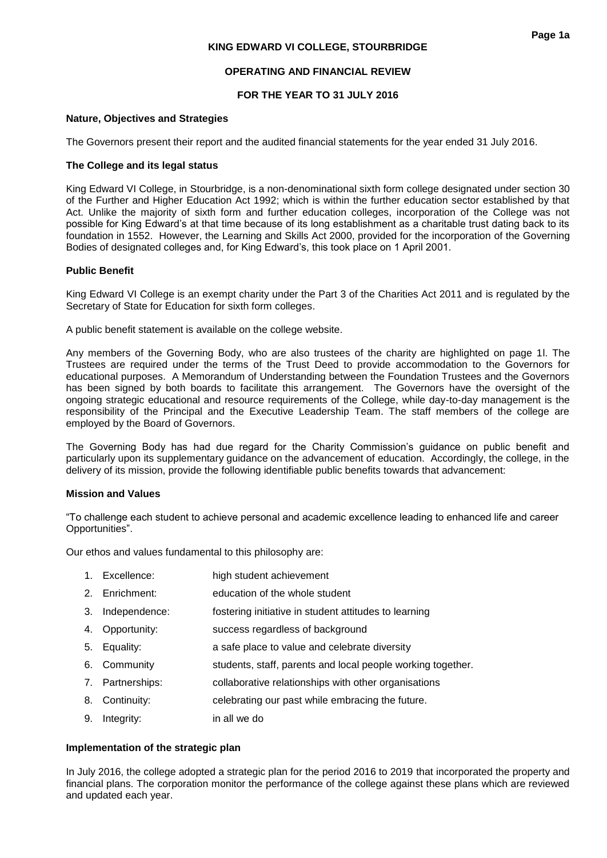# **FOR THE YEAR TO 31 JULY 2016**

## **Nature, Objectives and Strategies**

The Governors present their report and the audited financial statements for the year ended 31 July 2016.

# **The College and its legal status**

King Edward VI College, in Stourbridge, is a non-denominational sixth form college designated under section 30 of the Further and Higher Education Act 1992; which is within the further education sector established by that Act. Unlike the majority of sixth form and further education colleges, incorporation of the College was not possible for King Edward's at that time because of its long establishment as a charitable trust dating back to its foundation in 1552. However, the Learning and Skills Act 2000, provided for the incorporation of the Governing Bodies of designated colleges and, for King Edward's, this took place on 1 April 2001.

# **Public Benefit**

King Edward VI College is an exempt charity under the Part 3 of the Charities Act 2011 and is regulated by the Secretary of State for Education for sixth form colleges.

A public benefit statement is available on the college website.

Any members of the Governing Body, who are also trustees of the charity are highlighted on page 1l. The Trustees are required under the terms of the Trust Deed to provide accommodation to the Governors for educational purposes. A Memorandum of Understanding between the Foundation Trustees and the Governors has been signed by both boards to facilitate this arrangement. The Governors have the oversight of the ongoing strategic educational and resource requirements of the College, while day-to-day management is the responsibility of the Principal and the Executive Leadership Team. The staff members of the college are employed by the Board of Governors.

The Governing Body has had due regard for the Charity Commission's guidance on public benefit and particularly upon its supplementary guidance on the advancement of education. Accordingly, the college, in the delivery of its mission, provide the following identifiable public benefits towards that advancement:

# **Mission and Values**

"To challenge each student to achieve personal and academic excellence leading to enhanced life and career Opportunities".

Our ethos and values fundamental to this philosophy are:

- 1. Excellence: high student achievement
- 2. Enrichment: education of the whole student
- 3. Independence: fostering initiative in student attitudes to learning
- 4. Opportunity: success regardless of background
- 5. Equality: a safe place to value and celebrate diversity
- 6. Community students, staff, parents and local people working together.
- 7. Partnerships: collaborative relationships with other organisations
- 8. Continuity: celebrating our past while embracing the future.
- 9. Integrity: in all we do

# **Implementation of the strategic plan**

In July 2016, the college adopted a strategic plan for the period 2016 to 2019 that incorporated the property and financial plans. The corporation monitor the performance of the college against these plans which are reviewed and updated each year.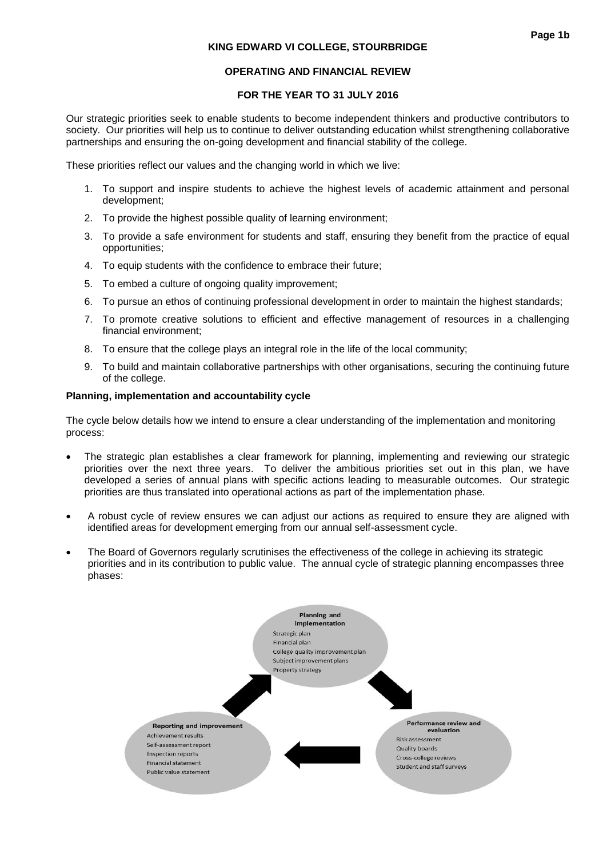## **OPERATING AND FINANCIAL REVIEW**

## **FOR THE YEAR TO 31 JULY 2016**

Our strategic priorities seek to enable students to become independent thinkers and productive contributors to society. Our priorities will help us to continue to deliver outstanding education whilst strengthening collaborative partnerships and ensuring the on-going development and financial stability of the college.

These priorities reflect our values and the changing world in which we live:

- 1. To support and inspire students to achieve the highest levels of academic attainment and personal development;
- 2. To provide the highest possible quality of learning environment:
- 3. To provide a safe environment for students and staff, ensuring they benefit from the practice of equal opportunities;
- 4. To equip students with the confidence to embrace their future:
- 5. To embed a culture of ongoing quality improvement;
- 6. To pursue an ethos of continuing professional development in order to maintain the highest standards;
- 7. To promote creative solutions to efficient and effective management of resources in a challenging financial environment;
- 8. To ensure that the college plays an integral role in the life of the local community;
- 9. To build and maintain collaborative partnerships with other organisations, securing the continuing future of the college.

#### **Planning, implementation and accountability cycle**

The cycle below details how we intend to ensure a clear understanding of the implementation and monitoring process:

- The strategic plan establishes a clear framework for planning, implementing and reviewing our strategic priorities over the next three years. To deliver the ambitious priorities set out in this plan, we have developed a series of annual plans with specific actions leading to measurable outcomes. Our strategic priorities are thus translated into operational actions as part of the implementation phase.
- A robust cycle of review ensures we can adjust our actions as required to ensure they are aligned with identified areas for development emerging from our annual self-assessment cycle.
- The Board of Governors regularly scrutinises the effectiveness of the college in achieving its strategic priorities and in its contribution to public value. The annual cycle of strategic planning encompasses three phases:

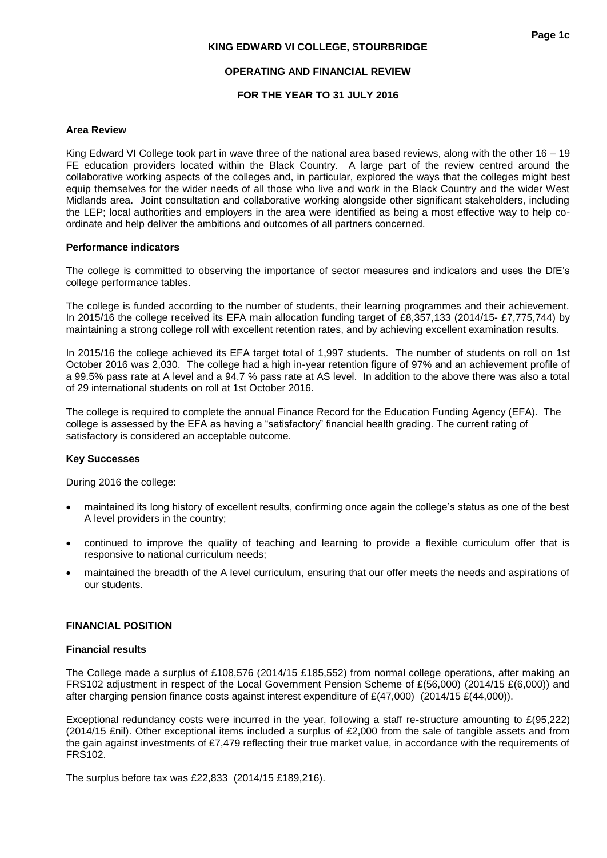## **OPERATING AND FINANCIAL REVIEW**

## **FOR THE YEAR TO 31 JULY 2016**

#### **Area Review**

King Edward VI College took part in wave three of the national area based reviews, along with the other 16 – 19 FE education providers located within the Black Country. A large part of the review centred around the collaborative working aspects of the colleges and, in particular, explored the ways that the colleges might best equip themselves for the wider needs of all those who live and work in the Black Country and the wider West Midlands area. Joint consultation and collaborative working alongside other significant stakeholders, including the LEP; local authorities and employers in the area were identified as being a most effective way to help coordinate and help deliver the ambitions and outcomes of all partners concerned.

#### **Performance indicators**

The college is committed to observing the importance of sector measures and indicators and uses the DfE's college performance tables.

The college is funded according to the number of students, their learning programmes and their achievement. In 2015/16 the college received its EFA main allocation funding target of £8,357,133 (2014/15- £7,775,744) by maintaining a strong college roll with excellent retention rates, and by achieving excellent examination results.

In 2015/16 the college achieved its EFA target total of 1,997 students. The number of students on roll on 1st October 2016 was 2,030. The college had a high in-year retention figure of 97% and an achievement profile of a 99.5% pass rate at A level and a 94.7 % pass rate at AS level. In addition to the above there was also a total of 29 international students on roll at 1st October 2016.

The college is required to complete the annual Finance Record for the Education Funding Agency (EFA). The college is assessed by the EFA as having a "satisfactory" financial health grading. The current rating of satisfactory is considered an acceptable outcome.

#### **Key Successes**

During 2016 the college:

- maintained its long history of excellent results, confirming once again the college's status as one of the best A level providers in the country;
- continued to improve the quality of teaching and learning to provide a flexible curriculum offer that is responsive to national curriculum needs;
- maintained the breadth of the A level curriculum, ensuring that our offer meets the needs and aspirations of our students.

#### **FINANCIAL POSITION**

#### **Financial results**

The College made a surplus of £108,576 (2014/15 £185,552) from normal college operations, after making an FRS102 adjustment in respect of the Local Government Pension Scheme of £(56,000) (2014/15 £(6,000)) and after charging pension finance costs against interest expenditure of £(47,000) (2014/15 £(44,000)).

Exceptional redundancy costs were incurred in the year, following a staff re-structure amounting to £(95,222) (2014/15 £nil). Other exceptional items included a surplus of £2,000 from the sale of tangible assets and from the gain against investments of £7,479 reflecting their true market value, in accordance with the requirements of FRS102.

The surplus before tax was £22,833 (2014/15 £189,216).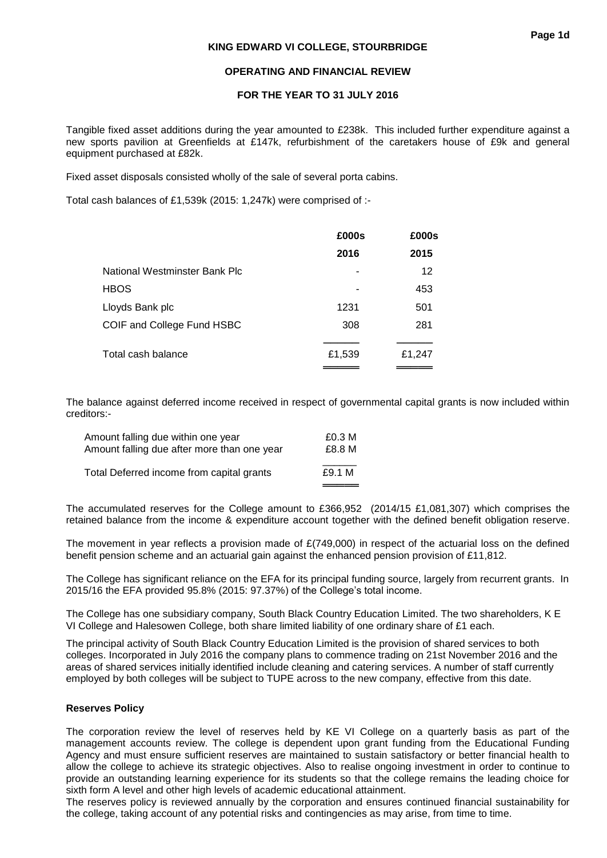## **OPERATING AND FINANCIAL REVIEW**

## **FOR THE YEAR TO 31 JULY 2016**

Tangible fixed asset additions during the year amounted to £238k. This included further expenditure against a new sports pavilion at Greenfields at £147k, refurbishment of the caretakers house of £9k and general equipment purchased at £82k.

Fixed asset disposals consisted wholly of the sale of several porta cabins.

Total cash balances of £1,539k (2015: 1,247k) were comprised of :-

|                               | £000s  | £000s  |
|-------------------------------|--------|--------|
|                               | 2016   | 2015   |
| National Westminster Bank Plc |        | 12     |
| HBOS                          |        | 453    |
| Lloyds Bank plc               | 1231   | 501    |
| COIF and College Fund HSBC    | 308    | 281    |
|                               |        |        |
| Total cash balance            | £1,539 | £1,247 |
|                               |        |        |

The balance against deferred income received in respect of governmental capital grants is now included within creditors:-

| Amount falling due within one year          | £0.3 M |
|---------------------------------------------|--------|
| Amount falling due after more than one year | £8.8 M |
| Total Deferred income from capital grants   | £9.1 M |

The accumulated reserves for the College amount to £366,952 (2014/15 £1,081,307) which comprises the retained balance from the income & expenditure account together with the defined benefit obligation reserve.

The movement in year reflects a provision made of  $E(749,000)$  in respect of the actuarial loss on the defined benefit pension scheme and an actuarial gain against the enhanced pension provision of £11,812.

The College has significant reliance on the EFA for its principal funding source, largely from recurrent grants. In 2015/16 the EFA provided 95.8% (2015: 97.37%) of the College's total income.

The College has one subsidiary company, South Black Country Education Limited. The two shareholders, K E VI College and Halesowen College, both share limited liability of one ordinary share of £1 each.

The principal activity of South Black Country Education Limited is the provision of shared services to both colleges. Incorporated in July 2016 the company plans to commence trading on 21st November 2016 and the areas of shared services initially identified include cleaning and catering services. A number of staff currently employed by both colleges will be subject to TUPE across to the new company, effective from this date.

#### **Reserves Policy**

The corporation review the level of reserves held by KE VI College on a quarterly basis as part of the management accounts review. The college is dependent upon grant funding from the Educational Funding Agency and must ensure sufficient reserves are maintained to sustain satisfactory or better financial health to allow the college to achieve its strategic objectives. Also to realise ongoing investment in order to continue to provide an outstanding learning experience for its students so that the college remains the leading choice for sixth form A level and other high levels of academic educational attainment.

The reserves policy is reviewed annually by the corporation and ensures continued financial sustainability for the college, taking account of any potential risks and contingencies as may arise, from time to time.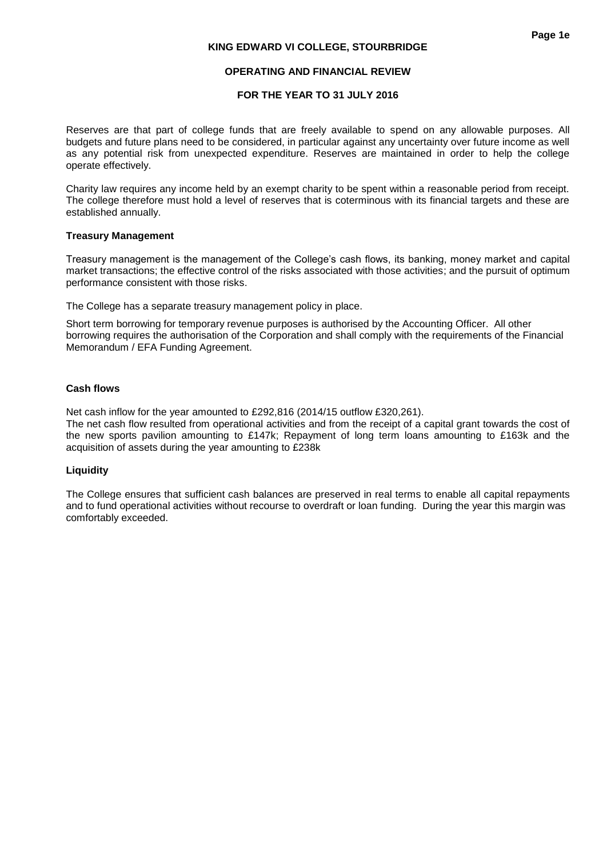# **FOR THE YEAR TO 31 JULY 2016**

Reserves are that part of college funds that are freely available to spend on any allowable purposes. All budgets and future plans need to be considered, in particular against any uncertainty over future income as well as any potential risk from unexpected expenditure. Reserves are maintained in order to help the college operate effectively.

Charity law requires any income held by an exempt charity to be spent within a reasonable period from receipt. The college therefore must hold a level of reserves that is coterminous with its financial targets and these are established annually.

# **Treasury Management**

Treasury management is the management of the College's cash flows, its banking, money market and capital market transactions; the effective control of the risks associated with those activities; and the pursuit of optimum performance consistent with those risks.

The College has a separate treasury management policy in place.

Short term borrowing for temporary revenue purposes is authorised by the Accounting Officer. All other borrowing requires the authorisation of the Corporation and shall comply with the requirements of the Financial Memorandum / EFA Funding Agreement.

# **Cash flows**

Net cash inflow for the year amounted to £292,816 (2014/15 outflow £320,261).

The net cash flow resulted from operational activities and from the receipt of a capital grant towards the cost of the new sports pavilion amounting to £147k; Repayment of long term loans amounting to £163k and the acquisition of assets during the year amounting to £238k

# **Liquidity**

The College ensures that sufficient cash balances are preserved in real terms to enable all capital repayments and to fund operational activities without recourse to overdraft or loan funding. During the year this margin was comfortably exceeded.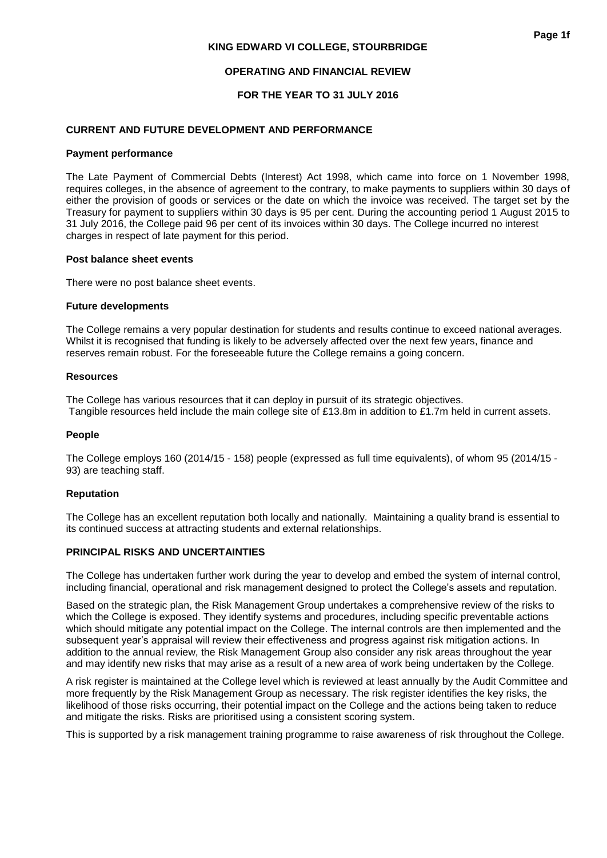## **OPERATING AND FINANCIAL REVIEW**

# **FOR THE YEAR TO 31 JULY 2016**

## **CURRENT AND FUTURE DEVELOPMENT AND PERFORMANCE**

#### **Payment performance**

The Late Payment of Commercial Debts (Interest) Act 1998, which came into force on 1 November 1998, requires colleges, in the absence of agreement to the contrary, to make payments to suppliers within 30 days of either the provision of goods or services or the date on which the invoice was received. The target set by the Treasury for payment to suppliers within 30 days is 95 per cent. During the accounting period 1 August 2015 to 31 July 2016, the College paid 96 per cent of its invoices within 30 days. The College incurred no interest charges in respect of late payment for this period.

#### **Post balance sheet events**

There were no post balance sheet events.

#### **Future developments**

The College remains a very popular destination for students and results continue to exceed national averages. Whilst it is recognised that funding is likely to be adversely affected over the next few years, finance and reserves remain robust. For the foreseeable future the College remains a going concern.

#### **Resources**

The College has various resources that it can deploy in pursuit of its strategic objectives. Tangible resources held include the main college site of £13.8m in addition to £1.7m held in current assets.

#### **People**

The College employs 160 (2014/15 - 158) people (expressed as full time equivalents), of whom 95 (2014/15 - 93) are teaching staff.

#### **Reputation**

The College has an excellent reputation both locally and nationally. Maintaining a quality brand is essential to its continued success at attracting students and external relationships.

## **PRINCIPAL RISKS AND UNCERTAINTIES**

The College has undertaken further work during the year to develop and embed the system of internal control, including financial, operational and risk management designed to protect the College's assets and reputation.

Based on the strategic plan, the Risk Management Group undertakes a comprehensive review of the risks to which the College is exposed. They identify systems and procedures, including specific preventable actions which should mitigate any potential impact on the College. The internal controls are then implemented and the subsequent year's appraisal will review their effectiveness and progress against risk mitigation actions. In addition to the annual review, the Risk Management Group also consider any risk areas throughout the year and may identify new risks that may arise as a result of a new area of work being undertaken by the College.

A risk register is maintained at the College level which is reviewed at least annually by the Audit Committee and more frequently by the Risk Management Group as necessary. The risk register identifies the key risks, the likelihood of those risks occurring, their potential impact on the College and the actions being taken to reduce and mitigate the risks. Risks are prioritised using a consistent scoring system.

This is supported by a risk management training programme to raise awareness of risk throughout the College.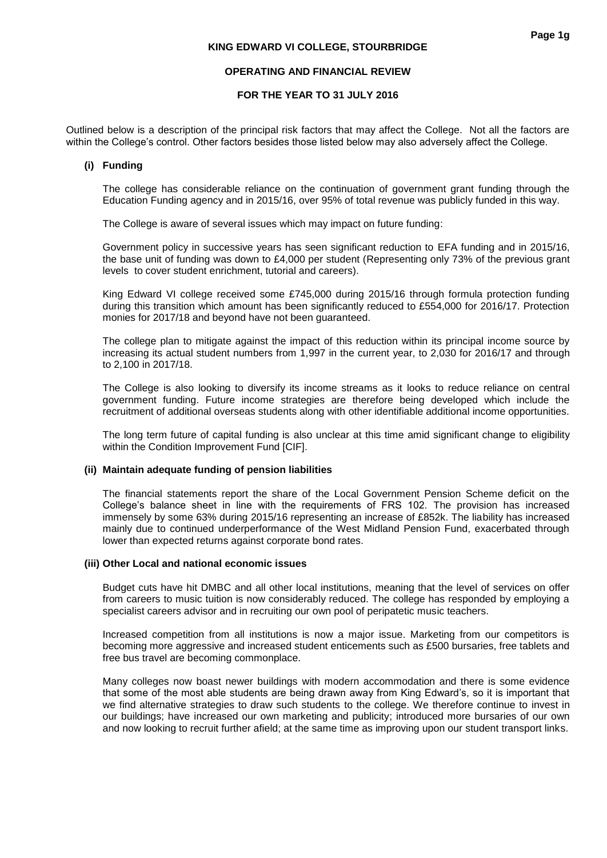## **OPERATING AND FINANCIAL REVIEW**

# **FOR THE YEAR TO 31 JULY 2016**

Outlined below is a description of the principal risk factors that may affect the College. Not all the factors are within the College's control. Other factors besides those listed below may also adversely affect the College.

## **(i) Funding**

The college has considerable reliance on the continuation of government grant funding through the Education Funding agency and in 2015/16, over 95% of total revenue was publicly funded in this way.

The College is aware of several issues which may impact on future funding:

Government policy in successive years has seen significant reduction to EFA funding and in 2015/16, the base unit of funding was down to £4,000 per student (Representing only 73% of the previous grant levels to cover student enrichment, tutorial and careers).

King Edward VI college received some £745,000 during 2015/16 through formula protection funding during this transition which amount has been significantly reduced to £554,000 for 2016/17. Protection monies for 2017/18 and beyond have not been guaranteed.

The college plan to mitigate against the impact of this reduction within its principal income source by increasing its actual student numbers from 1,997 in the current year, to 2,030 for 2016/17 and through to 2,100 in 2017/18.

The College is also looking to diversify its income streams as it looks to reduce reliance on central government funding. Future income strategies are therefore being developed which include the recruitment of additional overseas students along with other identifiable additional income opportunities.

The long term future of capital funding is also unclear at this time amid significant change to eligibility within the Condition Improvement Fund [CIF].

#### **(ii) Maintain adequate funding of pension liabilities**

The financial statements report the share of the Local Government Pension Scheme deficit on the College's balance sheet in line with the requirements of FRS 102. The provision has increased immensely by some 63% during 2015/16 representing an increase of £852k. The liability has increased mainly due to continued underperformance of the West Midland Pension Fund, exacerbated through lower than expected returns against corporate bond rates.

#### **(iii) Other Local and national economic issues**

Budget cuts have hit DMBC and all other local institutions, meaning that the level of services on offer from careers to music tuition is now considerably reduced. The college has responded by employing a specialist careers advisor and in recruiting our own pool of peripatetic music teachers.

Increased competition from all institutions is now a major issue. Marketing from our competitors is becoming more aggressive and increased student enticements such as £500 bursaries, free tablets and free bus travel are becoming commonplace.

Many colleges now boast newer buildings with modern accommodation and there is some evidence that some of the most able students are being drawn away from King Edward's, so it is important that we find alternative strategies to draw such students to the college. We therefore continue to invest in our buildings; have increased our own marketing and publicity; introduced more bursaries of our own and now looking to recruit further afield; at the same time as improving upon our student transport links.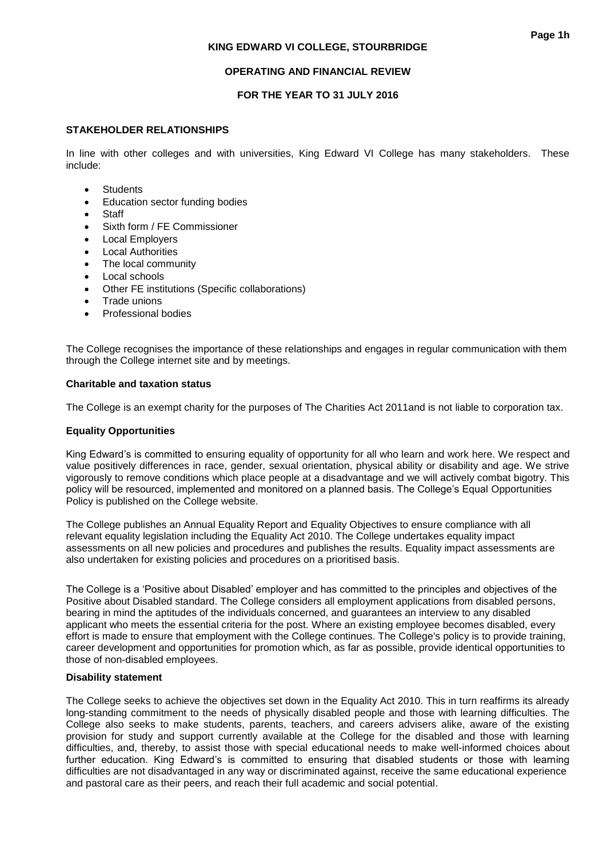## **OPERATING AND FINANCIAL REVIEW**

# **FOR THE YEAR TO 31 JULY 2016**

## **STAKEHOLDER RELATIONSHIPS**

In line with other colleges and with universities, King Edward VI College has many stakeholders. These include:

- **•** Students
- **•** Education sector funding bodies
- **Staff**
- Sixth form / FE Commissioner
- Local Employers
- Local Authorities
- The local community
- Local schools
- Other FE institutions (Specific collaborations)
- Trade unions
- Professional bodies

The College recognises the importance of these relationships and engages in regular communication with them through the College internet site and by meetings.

## **Charitable and taxation status**

The College is an exempt charity for the purposes of The Charities Act 2011and is not liable to corporation tax.

## **Equality Opportunities**

King Edward's is committed to ensuring equality of opportunity for all who learn and work here. We respect and value positively differences in race, gender, sexual orientation, physical ability or disability and age. We strive vigorously to remove conditions which place people at a disadvantage and we will actively combat bigotry. This policy will be resourced, implemented and monitored on a planned basis. The College's Equal Opportunities Policy is published on the College website.

The College publishes an Annual Equality Report and Equality Objectives to ensure compliance with all relevant equality legislation including the Equality Act 2010. The College undertakes equality impact assessments on all new policies and procedures and publishes the results. Equality impact assessments are also undertaken for existing policies and procedures on a prioritised basis.

The College is a 'Positive about Disabled' employer and has committed to the principles and objectives of the Positive about Disabled standard. The College considers all employment applications from disabled persons, bearing in mind the aptitudes of the individuals concerned, and guarantees an interview to any disabled applicant who meets the essential criteria for the post. Where an existing employee becomes disabled, every effort is made to ensure that employment with the College continues. The College's policy is to provide training, career development and opportunities for promotion which, as far as possible, provide identical opportunities to those of non-disabled employees.

#### **Disability statement**

The College seeks to achieve the objectives set down in the Equality Act 2010. This in turn reaffirms its already long-standing commitment to the needs of physically disabled people and those with learning difficulties. The College also seeks to make students, parents, teachers, and careers advisers alike, aware of the existing provision for study and support currently available at the College for the disabled and those with learning difficulties, and, thereby, to assist those with special educational needs to make well-informed choices about further education. King Edward's is committed to ensuring that disabled students or those with learning difficulties are not disadvantaged in any way or discriminated against, receive the same educational experience and pastoral care as their peers, and reach their full academic and social potential.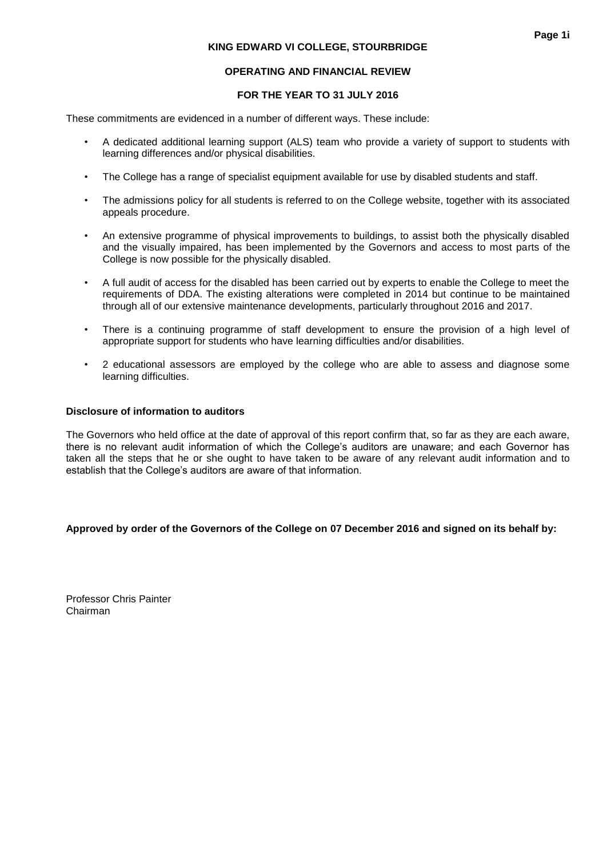# **OPERATING AND FINANCIAL REVIEW**

## **FOR THE YEAR TO 31 JULY 2016**

These commitments are evidenced in a number of different ways. These include:

- A dedicated additional learning support (ALS) team who provide a variety of support to students with learning differences and/or physical disabilities.
- The College has a range of specialist equipment available for use by disabled students and staff.
- The admissions policy for all students is referred to on the College website, together with its associated appeals procedure.
- An extensive programme of physical improvements to buildings, to assist both the physically disabled and the visually impaired, has been implemented by the Governors and access to most parts of the College is now possible for the physically disabled.
- A full audit of access for the disabled has been carried out by experts to enable the College to meet the requirements of DDA. The existing alterations were completed in 2014 but continue to be maintained through all of our extensive maintenance developments, particularly throughout 2016 and 2017.
- There is a continuing programme of staff development to ensure the provision of a high level of appropriate support for students who have learning difficulties and/or disabilities.
- 2 educational assessors are employed by the college who are able to assess and diagnose some learning difficulties.

#### **Disclosure of information to auditors**

The Governors who held office at the date of approval of this report confirm that, so far as they are each aware, there is no relevant audit information of which the College's auditors are unaware; and each Governor has taken all the steps that he or she ought to have taken to be aware of any relevant audit information and to establish that the College's auditors are aware of that information.

#### **Approved by order of the Governors of the College on 07 December 2016 and signed on its behalf by:**

Professor Chris Painter Chairman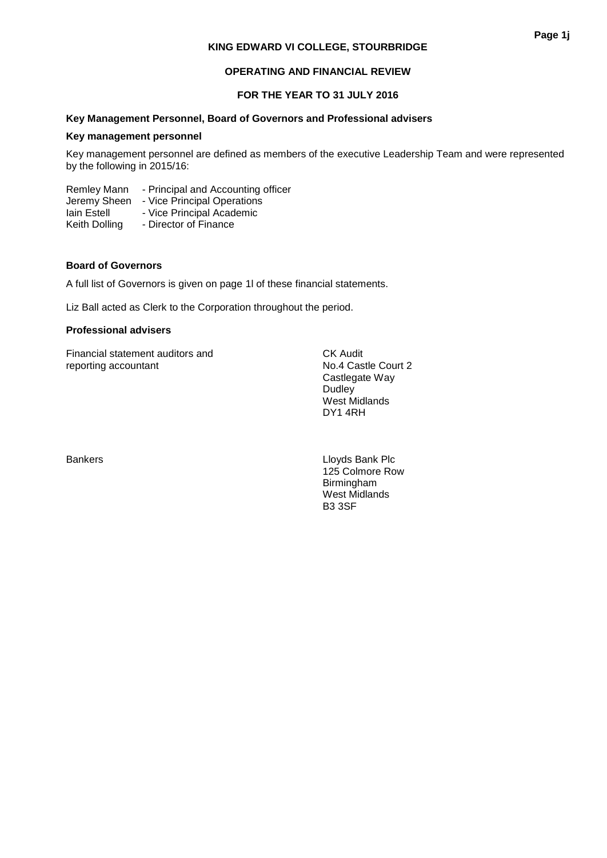# **OPERATING AND FINANCIAL REVIEW**

# **FOR THE YEAR TO 31 JULY 2016**

# **Key Management Personnel, Board of Governors and Professional advisers**

#### **Key management personnel**

Key management personnel are defined as members of the executive Leadership Team and were represented by the following in 2015/16:

Remley Mann - Principal and Accounting officer Jeremy Sheen - Vice Principal Operations Iain Estell - Vice Principal Academic Keith Dolling - Director of Finance

# **Board of Governors**

A full list of Governors is given on page 1l of these financial statements.

Liz Ball acted as Clerk to the Corporation throughout the period.

# **Professional advisers**

Financial statement auditors and<br>
Financial statement auditors and<br>
Ro.4 Castle Court 2 reporting accountant

Castlegate Way Dudley West Midlands DY1 4RH

Bankers **Example 2018** Lloyds Bank Plc 125 Colmore Row Birmingham West Midlands B3 3SF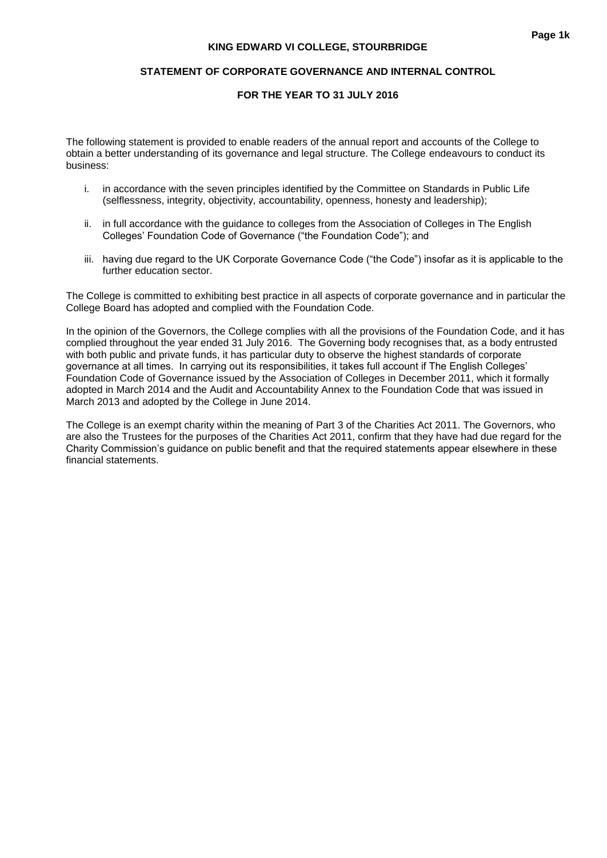## **STATEMENT OF CORPORATE GOVERNANCE AND INTERNAL CONTROL**

# **FOR THE YEAR TO 31 JULY 2016**

The following statement is provided to enable readers of the annual report and accounts of the College to obtain a better understanding of its governance and legal structure. The College endeavours to conduct its business:

- i. in accordance with the seven principles identified by the Committee on Standards in Public Life (selflessness, integrity, objectivity, accountability, openness, honesty and leadership);
- ii. in full accordance with the guidance to colleges from the Association of Colleges in The English Colleges' Foundation Code of Governance ("the Foundation Code"); and
- iii. having due regard to the UK Corporate Governance Code ("the Code") insofar as it is applicable to the further education sector.

The College is committed to exhibiting best practice in all aspects of corporate governance and in particular the College Board has adopted and complied with the Foundation Code.

In the opinion of the Governors, the College complies with all the provisions of the Foundation Code, and it has complied throughout the year ended 31 July 2016. The Governing body recognises that, as a body entrusted with both public and private funds, it has particular duty to observe the highest standards of corporate governance at all times. In carrying out its responsibilities, it takes full account if The English Colleges' Foundation Code of Governance issued by the Association of Colleges in December 2011, which it formally adopted in March 2014 and the Audit and Accountability Annex to the Foundation Code that was issued in March 2013 and adopted by the College in June 2014.

The College is an exempt charity within the meaning of Part 3 of the Charities Act 2011. The Governors, who are also the Trustees for the purposes of the Charities Act 2011, confirm that they have had due regard for the Charity Commission's guidance on public benefit and that the required statements appear elsewhere in these financial statements.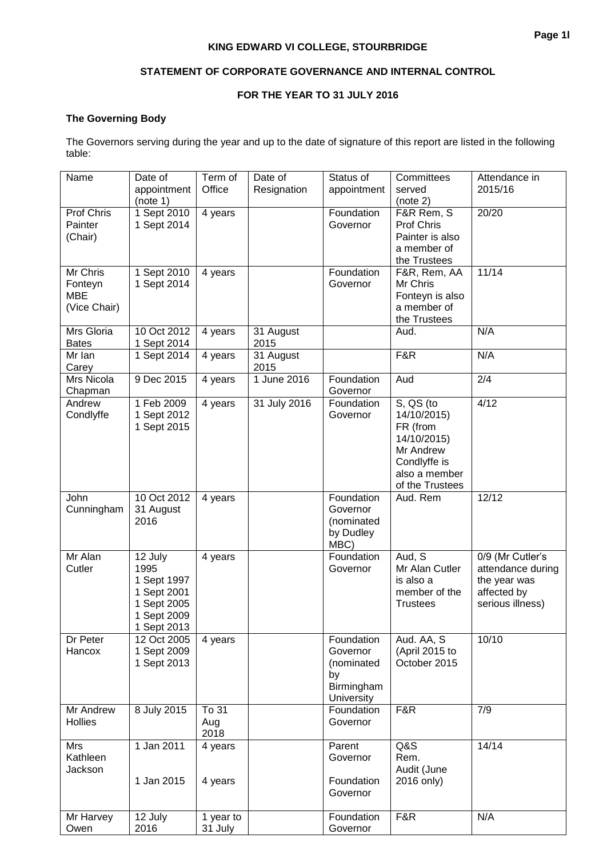# **FOR THE YEAR TO 31 JULY 2016**

# **The Governing Body**

The Governors serving during the year and up to the date of signature of this report are listed in the following table:

| Name                                              | Date of<br>appointment<br>(note 1)                                                         | Term of<br>Office    | Date of<br>Resignation | Status of<br>appointment                                                      | Committees<br>served<br>(note 2)                                                                                     | Attendance in<br>2015/16                                                                 |
|---------------------------------------------------|--------------------------------------------------------------------------------------------|----------------------|------------------------|-------------------------------------------------------------------------------|----------------------------------------------------------------------------------------------------------------------|------------------------------------------------------------------------------------------|
| Prof Chris<br>Painter<br>(Chair)                  | 1 Sept 2010<br>1 Sept 2014                                                                 | 4 years              |                        | Foundation<br>Governor                                                        | F&R Rem, S<br>Prof Chris<br>Painter is also<br>a member of<br>the Trustees                                           | 20/20                                                                                    |
| Mr Chris<br>Fonteyn<br><b>MBE</b><br>(Vice Chair) | 1 Sept 2010<br>1 Sept 2014                                                                 | 4 years              |                        | Foundation<br>Governor                                                        | F&R, Rem, AA<br>Mr Chris<br>Fonteyn is also<br>a member of<br>the Trustees                                           | 11/14                                                                                    |
| Mrs Gloria<br><b>Bates</b>                        | 10 Oct 2012<br>1 Sept 2014                                                                 | 4 years              | 31 August<br>2015      |                                                                               | Aud.                                                                                                                 | N/A                                                                                      |
| Mr Ian<br>Carey                                   | 1 Sept 2014                                                                                | 4 years              | 31 August<br>2015      |                                                                               | F&R                                                                                                                  | N/A                                                                                      |
| Mrs Nicola<br>Chapman                             | 9 Dec 2015                                                                                 | 4 years              | 1 June 2016            | Foundation<br>Governor                                                        | Aud                                                                                                                  | 2/4                                                                                      |
| Andrew<br>Condlyffe                               | 1 Feb 2009<br>1 Sept 2012<br>1 Sept 2015                                                   | 4 years              | 31 July 2016           | Foundation<br>Governor                                                        | S, QS (to<br>14/10/2015)<br>FR (from<br>14/10/2015)<br>Mr Andrew<br>Condlyffe is<br>also a member<br>of the Trustees | 4/12                                                                                     |
| John<br>Cunningham                                | 10 Oct 2012<br>31 August<br>2016                                                           | 4 years              |                        | Foundation<br>Governor<br>(nominated<br>by Dudley<br>MBC)                     | Aud. Rem                                                                                                             | 12/12                                                                                    |
| Mr Alan<br>Cutler                                 | 12 July<br>1995<br>1 Sept 1997<br>1 Sept 2001<br>1 Sept 2005<br>1 Sept 2009<br>1 Sept 2013 | 4 years              |                        | Foundation<br>Governor                                                        | Aud, S<br>Mr Alan Cutler<br>is also a<br>member of the<br><b>Trustees</b>                                            | 0/9 (Mr Cutler's<br>attendance during<br>the year was<br>affected by<br>serious illness) |
| Dr Peter<br>Hancox                                | 12 Oct 2005<br>1 Sept 2009<br>1 Sept 2013                                                  | 4 years              |                        | Foundation<br>Governor<br>(nominated<br>by<br>Birmingham<br><b>University</b> | Aud. AA, S<br>(April 2015 to<br>October 2015                                                                         | 10/10                                                                                    |
| Mr Andrew<br>Hollies                              | 8 July 2015                                                                                | To 31<br>Aug<br>2018 |                        | Foundation<br>Governor                                                        | F&R                                                                                                                  | 7/9                                                                                      |
| Mrs<br>Kathleen<br>Jackson                        | 1 Jan 2011<br>1 Jan 2015                                                                   | 4 years<br>4 years   |                        | Parent<br>Governor<br>Foundation<br>Governor                                  | Q&S<br>Rem.<br>Audit (June<br>2016 only)                                                                             | 14/14                                                                                    |
| Mr Harvey<br>Owen                                 | 12 July<br>2016                                                                            | 1 year to<br>31 July |                        | Foundation<br>Governor                                                        | F&R                                                                                                                  | N/A                                                                                      |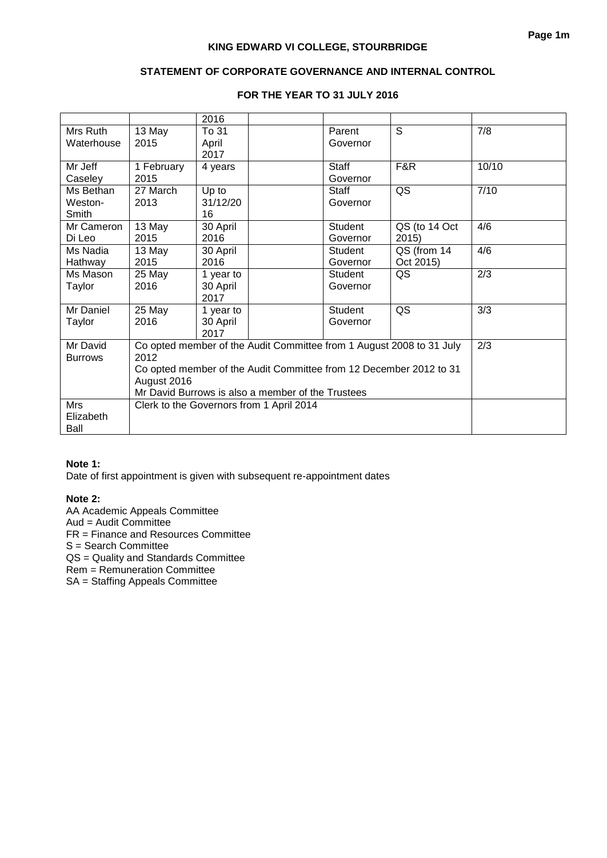# **STATEMENT OF CORPORATE GOVERNANCE AND INTERNAL CONTROL**

|                        |                                                                    | 2016           |  |                    |                                                                      |       |
|------------------------|--------------------------------------------------------------------|----------------|--|--------------------|----------------------------------------------------------------------|-------|
| Mrs Ruth<br>Waterhouse | 13 May<br>2015                                                     | To 31<br>April |  | Parent<br>Governor | S                                                                    | 7/8   |
|                        |                                                                    | 2017           |  |                    |                                                                      |       |
| Mr Jeff                | 1 February                                                         | 4 years        |  | <b>Staff</b>       | F&R                                                                  | 10/10 |
| Caseley                | 2015                                                               |                |  | Governor           |                                                                      |       |
| Ms Bethan              | 27 March                                                           | Up to          |  | <b>Staff</b>       | QS                                                                   | 7/10  |
| Weston-                | 2013                                                               | 31/12/20       |  | Governor           |                                                                      |       |
| Smith                  |                                                                    | 16             |  |                    |                                                                      |       |
| Mr Cameron             | 13 May                                                             | 30 April       |  | Student            | QS (to 14 Oct                                                        | 4/6   |
| Di Leo                 | 2015                                                               | 2016           |  | Governor           | 2015                                                                 |       |
| Ms Nadia               | 13 May                                                             | 30 April       |  | Student            | QS (from 14                                                          | 4/6   |
| Hathway                | 2015                                                               | 2016           |  | Governor           | Oct 2015)                                                            |       |
| Ms Mason               | 25 May                                                             | 1 year to      |  | Student            | QS                                                                   | 2/3   |
| Taylor                 | 2016                                                               | 30 April       |  | Governor           |                                                                      |       |
|                        |                                                                    | 2017           |  |                    |                                                                      |       |
| Mr Daniel              | 25 May                                                             | 1 year to      |  | Student            | QS                                                                   | 3/3   |
| Taylor                 | 2016                                                               | 30 April       |  | Governor           |                                                                      |       |
|                        |                                                                    | 2017           |  |                    |                                                                      |       |
| Mr David               |                                                                    |                |  |                    | Co opted member of the Audit Committee from 1 August 2008 to 31 July | 2/3   |
| <b>Burrows</b>         | 2012                                                               |                |  |                    |                                                                      |       |
|                        | Co opted member of the Audit Committee from 12 December 2012 to 31 |                |  |                    |                                                                      |       |
|                        | August 2016                                                        |                |  |                    |                                                                      |       |
|                        | Mr David Burrows is also a member of the Trustees                  |                |  |                    |                                                                      |       |
| Mrs                    | Clerk to the Governors from 1 April 2014                           |                |  |                    |                                                                      |       |
| Elizabeth              |                                                                    |                |  |                    |                                                                      |       |
| Ball                   |                                                                    |                |  |                    |                                                                      |       |

## **FOR THE YEAR TO 31 JULY 2016**

# **Note 1:**

Date of first appointment is given with subsequent re-appointment dates

#### **Note 2:**

AA Academic Appeals Committee Aud = Audit Committee FR = Finance and Resources Committee S = Search Committee QS = Quality and Standards Committee Rem = Remuneration Committee SA = Staffing Appeals Committee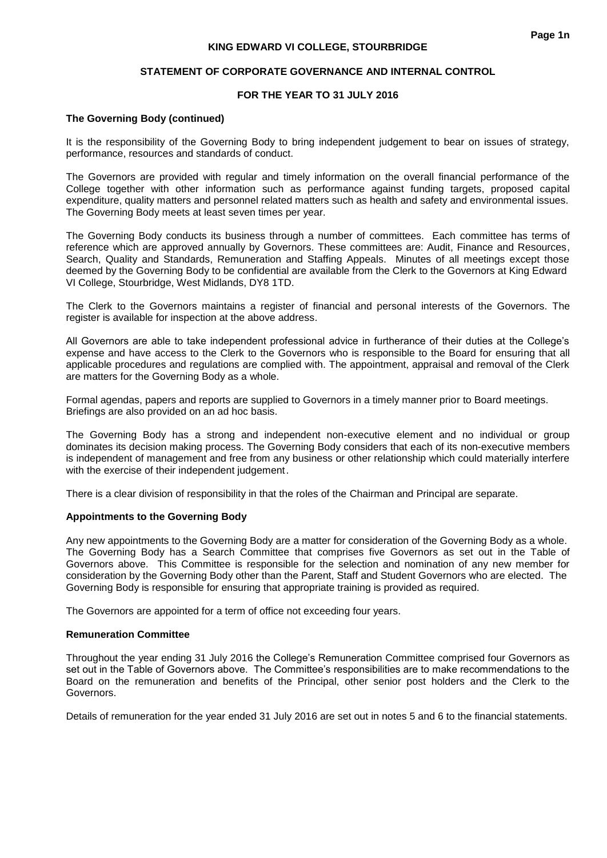## **STATEMENT OF CORPORATE GOVERNANCE AND INTERNAL CONTROL**

# **FOR THE YEAR TO 31 JULY 2016**

## **The Governing Body (continued)**

It is the responsibility of the Governing Body to bring independent judgement to bear on issues of strategy, performance, resources and standards of conduct.

The Governors are provided with regular and timely information on the overall financial performance of the College together with other information such as performance against funding targets, proposed capital expenditure, quality matters and personnel related matters such as health and safety and environmental issues. The Governing Body meets at least seven times per year.

The Governing Body conducts its business through a number of committees. Each committee has terms of reference which are approved annually by Governors. These committees are: Audit, Finance and Resources, Search, Quality and Standards, Remuneration and Staffing Appeals. Minutes of all meetings except those deemed by the Governing Body to be confidential are available from the Clerk to the Governors at King Edward VI College, Stourbridge, West Midlands, DY8 1TD.

The Clerk to the Governors maintains a register of financial and personal interests of the Governors. The register is available for inspection at the above address.

All Governors are able to take independent professional advice in furtherance of their duties at the College's expense and have access to the Clerk to the Governors who is responsible to the Board for ensuring that all applicable procedures and regulations are complied with. The appointment, appraisal and removal of the Clerk are matters for the Governing Body as a whole.

Formal agendas, papers and reports are supplied to Governors in a timely manner prior to Board meetings. Briefings are also provided on an ad hoc basis.

The Governing Body has a strong and independent non-executive element and no individual or group dominates its decision making process. The Governing Body considers that each of its non-executive members is independent of management and free from any business or other relationship which could materially interfere with the exercise of their independent judgement.

There is a clear division of responsibility in that the roles of the Chairman and Principal are separate.

#### **Appointments to the Governing Body**

Any new appointments to the Governing Body are a matter for consideration of the Governing Body as a whole. The Governing Body has a Search Committee that comprises five Governors as set out in the Table of Governors above. This Committee is responsible for the selection and nomination of any new member for consideration by the Governing Body other than the Parent, Staff and Student Governors who are elected. The Governing Body is responsible for ensuring that appropriate training is provided as required.

The Governors are appointed for a term of office not exceeding four years.

#### **Remuneration Committee**

Throughout the year ending 31 July 2016 the College's Remuneration Committee comprised four Governors as set out in the Table of Governors above. The Committee's responsibilities are to make recommendations to the Board on the remuneration and benefits of the Principal, other senior post holders and the Clerk to the Governors.

Details of remuneration for the year ended 31 July 2016 are set out in notes 5 and 6 to the financial statements.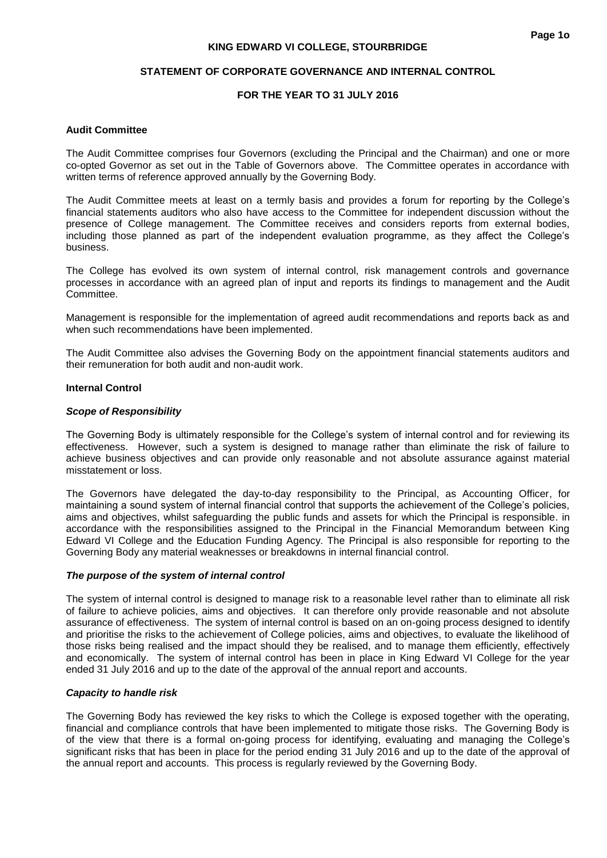#### **STATEMENT OF CORPORATE GOVERNANCE AND INTERNAL CONTROL**

## **FOR THE YEAR TO 31 JULY 2016**

#### **Audit Committee**

The Audit Committee comprises four Governors (excluding the Principal and the Chairman) and one or more co-opted Governor as set out in the Table of Governors above. The Committee operates in accordance with written terms of reference approved annually by the Governing Body.

The Audit Committee meets at least on a termly basis and provides a forum for reporting by the College's financial statements auditors who also have access to the Committee for independent discussion without the presence of College management. The Committee receives and considers reports from external bodies, including those planned as part of the independent evaluation programme, as they affect the College's business.

The College has evolved its own system of internal control, risk management controls and governance processes in accordance with an agreed plan of input and reports its findings to management and the Audit Committee.

Management is responsible for the implementation of agreed audit recommendations and reports back as and when such recommendations have been implemented.

The Audit Committee also advises the Governing Body on the appointment financial statements auditors and their remuneration for both audit and non-audit work.

#### **Internal Control**

#### *Scope of Responsibility*

The Governing Body is ultimately responsible for the College's system of internal control and for reviewing its effectiveness. However, such a system is designed to manage rather than eliminate the risk of failure to achieve business objectives and can provide only reasonable and not absolute assurance against material misstatement or loss.

The Governors have delegated the day-to-day responsibility to the Principal, as Accounting Officer, for maintaining a sound system of internal financial control that supports the achievement of the College's policies, aims and objectives, whilst safeguarding the public funds and assets for which the Principal is responsible. in accordance with the responsibilities assigned to the Principal in the Financial Memorandum between King Edward VI College and the Education Funding Agency. The Principal is also responsible for reporting to the Governing Body any material weaknesses or breakdowns in internal financial control.

#### *The purpose of the system of internal control*

The system of internal control is designed to manage risk to a reasonable level rather than to eliminate all risk of failure to achieve policies, aims and objectives. It can therefore only provide reasonable and not absolute assurance of effectiveness. The system of internal control is based on an on-going process designed to identify and prioritise the risks to the achievement of College policies, aims and objectives, to evaluate the likelihood of those risks being realised and the impact should they be realised, and to manage them efficiently, effectively and economically. The system of internal control has been in place in King Edward VI College for the year ended 31 July 2016 and up to the date of the approval of the annual report and accounts.

#### *Capacity to handle risk*

The Governing Body has reviewed the key risks to which the College is exposed together with the operating, financial and compliance controls that have been implemented to mitigate those risks. The Governing Body is of the view that there is a formal on-going process for identifying, evaluating and managing the College's significant risks that has been in place for the period ending 31 July 2016 and up to the date of the approval of the annual report and accounts. This process is regularly reviewed by the Governing Body.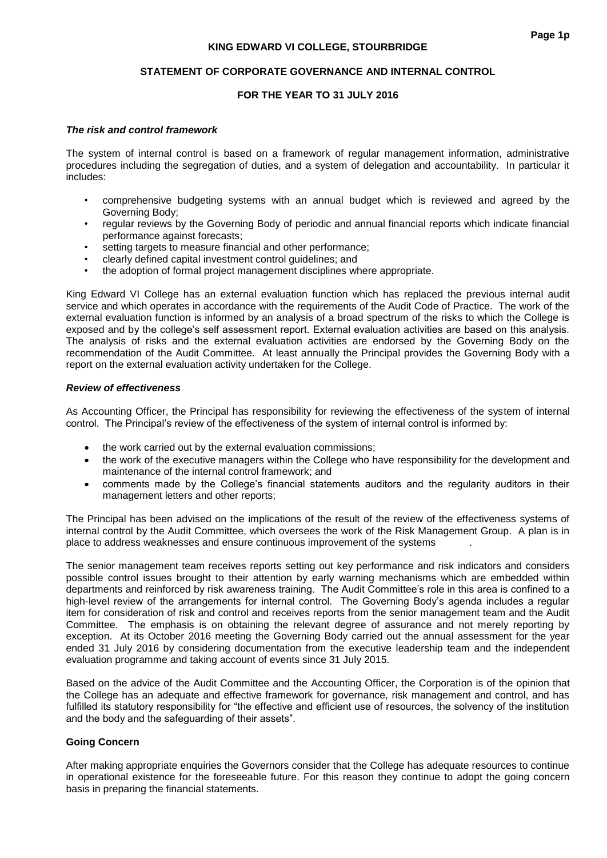## **STATEMENT OF CORPORATE GOVERNANCE AND INTERNAL CONTROL**

# **FOR THE YEAR TO 31 JULY 2016**

#### *The risk and control framework*

The system of internal control is based on a framework of regular management information, administrative procedures including the segregation of duties, and a system of delegation and accountability. In particular it includes:

- comprehensive budgeting systems with an annual budget which is reviewed and agreed by the Governing Body;
- regular reviews by the Governing Body of periodic and annual financial reports which indicate financial performance against forecasts;
- setting targets to measure financial and other performance;
- clearly defined capital investment control guidelines; and
- the adoption of formal project management disciplines where appropriate.

King Edward VI College has an external evaluation function which has replaced the previous internal audit service and which operates in accordance with the requirements of the Audit Code of Practice. The work of the external evaluation function is informed by an analysis of a broad spectrum of the risks to which the College is exposed and by the college's self assessment report. External evaluation activities are based on this analysis. The analysis of risks and the external evaluation activities are endorsed by the Governing Body on the recommendation of the Audit Committee. At least annually the Principal provides the Governing Body with a report on the external evaluation activity undertaken for the College.

#### *Review of effectiveness*

As Accounting Officer, the Principal has responsibility for reviewing the effectiveness of the system of internal control. The Principal's review of the effectiveness of the system of internal control is informed by:

- the work carried out by the external evaluation commissions;
- the work of the executive managers within the College who have responsibility for the development and maintenance of the internal control framework; and
- comments made by the College's financial statements auditors and the regularity auditors in their management letters and other reports;

The Principal has been advised on the implications of the result of the review of the effectiveness systems of internal control by the Audit Committee, which oversees the work of the Risk Management Group. A plan is in place to address weaknesses and ensure continuous improvement of the systems .

The senior management team receives reports setting out key performance and risk indicators and considers possible control issues brought to their attention by early warning mechanisms which are embedded within departments and reinforced by risk awareness training. The Audit Committee's role in this area is confined to a high-level review of the arrangements for internal control. The Governing Body's agenda includes a regular item for consideration of risk and control and receives reports from the senior management team and the Audit Committee. The emphasis is on obtaining the relevant degree of assurance and not merely reporting by exception. At its October 2016 meeting the Governing Body carried out the annual assessment for the year ended 31 July 2016 by considering documentation from the executive leadership team and the independent evaluation programme and taking account of events since 31 July 2015.

Based on the advice of the Audit Committee and the Accounting Officer, the Corporation is of the opinion that the College has an adequate and effective framework for governance, risk management and control, and has fulfilled its statutory responsibility for "the effective and efficient use of resources, the solvency of the institution and the body and the safeguarding of their assets".

# **Going Concern**

After making appropriate enquiries the Governors consider that the College has adequate resources to continue in operational existence for the foreseeable future. For this reason they continue to adopt the going concern basis in preparing the financial statements.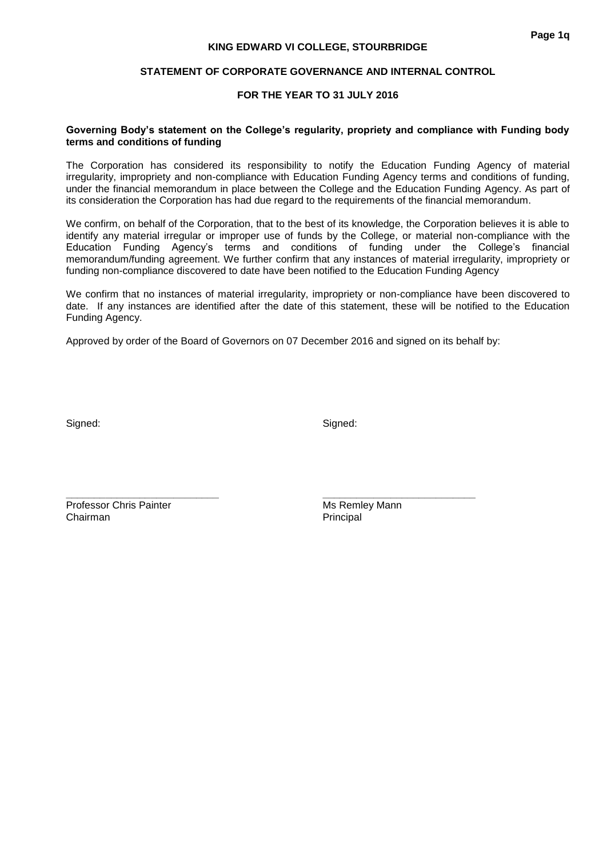## **FOR THE YEAR TO 31 JULY 2016**

## **Governing Body's statement on the College's regularity, propriety and compliance with Funding body terms and conditions of funding**

The Corporation has considered its responsibility to notify the Education Funding Agency of material irregularity, impropriety and non-compliance with Education Funding Agency terms and conditions of funding, under the financial memorandum in place between the College and the Education Funding Agency. As part of its consideration the Corporation has had due regard to the requirements of the financial memorandum.

We confirm, on behalf of the Corporation, that to the best of its knowledge, the Corporation believes it is able to identify any material irregular or improper use of funds by the College, or material non-compliance with the Education Funding Agency's terms and conditions of funding under the College's financial memorandum/funding agreement. We further confirm that any instances of material irregularity, impropriety or funding non-compliance discovered to date have been notified to the Education Funding Agency

We confirm that no instances of material irregularity, impropriety or non-compliance have been discovered to date. If any instances are identified after the date of this statement, these will be notified to the Education Funding Agency.

Approved by order of the Board of Governors on 07 December 2016 and signed on its behalf by:

Signed: Signed: Signed: Signed: Signed: Signed: Signed: Signed: Signed: Signed: Signed: Signed: Signed: Signed: Signed: Signed: Signed: Signed: Signed: Signed: Signed: Signed: Signed: Signed: Signed: Signed: Signed: Signed

**\_\_\_\_\_\_\_\_\_\_\_\_\_\_\_\_\_\_\_\_\_\_\_\_\_\_\_ \_\_\_\_\_\_\_\_\_\_\_\_\_\_\_\_\_\_\_\_\_\_\_\_\_\_\_** Professor Chris Painter Music Christener Music Music Remley Mann Chairman **Principal**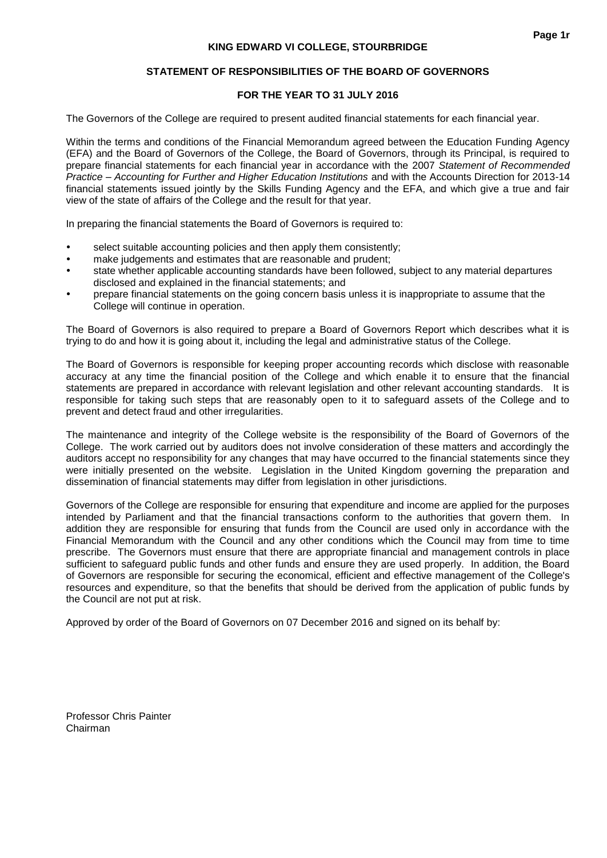# **FOR THE YEAR TO 31 JULY 2016**

The Governors of the College are required to present audited financial statements for each financial year.

Within the terms and conditions of the Financial Memorandum agreed between the Education Funding Agency (EFA) and the Board of Governors of the College, the Board of Governors, through its Principal, is required to prepare financial statements for each financial year in accordance with the 2007 *Statement of Recommended Practice – Accounting for Further and Higher Education Institutions* and with the Accounts Direction for 2013-14 financial statements issued jointly by the Skills Funding Agency and the EFA, and which give a true and fair view of the state of affairs of the College and the result for that year.

In preparing the financial statements the Board of Governors is required to:

- select suitable accounting policies and then apply them consistently;
- make judgements and estimates that are reasonable and prudent;
- state whether applicable accounting standards have been followed, subject to any material departures disclosed and explained in the financial statements; and
- prepare financial statements on the going concern basis unless it is inappropriate to assume that the College will continue in operation.

The Board of Governors is also required to prepare a Board of Governors Report which describes what it is trying to do and how it is going about it, including the legal and administrative status of the College.

The Board of Governors is responsible for keeping proper accounting records which disclose with reasonable accuracy at any time the financial position of the College and which enable it to ensure that the financial statements are prepared in accordance with relevant legislation and other relevant accounting standards. It is responsible for taking such steps that are reasonably open to it to safeguard assets of the College and to prevent and detect fraud and other irregularities.

The maintenance and integrity of the College website is the responsibility of the Board of Governors of the College. The work carried out by auditors does not involve consideration of these matters and accordingly the auditors accept no responsibility for any changes that may have occurred to the financial statements since they were initially presented on the website. Legislation in the United Kingdom governing the preparation and dissemination of financial statements may differ from legislation in other jurisdictions.

Governors of the College are responsible for ensuring that expenditure and income are applied for the purposes intended by Parliament and that the financial transactions conform to the authorities that govern them. In addition they are responsible for ensuring that funds from the Council are used only in accordance with the Financial Memorandum with the Council and any other conditions which the Council may from time to time prescribe. The Governors must ensure that there are appropriate financial and management controls in place sufficient to safeguard public funds and other funds and ensure they are used properly. In addition, the Board of Governors are responsible for securing the economical, efficient and effective management of the College's resources and expenditure, so that the benefits that should be derived from the application of public funds by the Council are not put at risk.

Approved by order of the Board of Governors on 07 December 2016 and signed on its behalf by:

Professor Chris Painter Chairman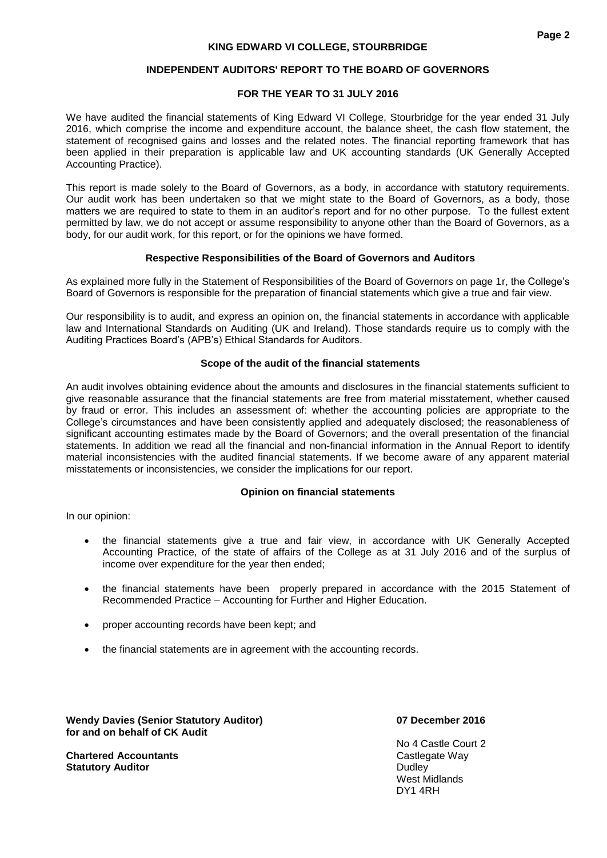# **FOR THE YEAR TO 31 JULY 2016**

We have audited the financial statements of King Edward VI College, Stourbridge for the year ended 31 July 2016, which comprise the income and expenditure account, the balance sheet, the cash flow statement, the statement of recognised gains and losses and the related notes. The financial reporting framework that has been applied in their preparation is applicable law and UK accounting standards (UK Generally Accepted Accounting Practice).

This report is made solely to the Board of Governors, as a body, in accordance with statutory requirements. Our audit work has been undertaken so that we might state to the Board of Governors, as a body, those matters we are required to state to them in an auditor's report and for no other purpose. To the fullest extent permitted by law, we do not accept or assume responsibility to anyone other than the Board of Governors, as a body, for our audit work, for this report, or for the opinions we have formed.

# **Respective Responsibilities of the Board of Governors and Auditors**

As explained more fully in the Statement of Responsibilities of the Board of Governors on page 1r, the College's Board of Governors is responsible for the preparation of financial statements which give a true and fair view.

Our responsibility is to audit, and express an opinion on, the financial statements in accordance with applicable law and International Standards on Auditing (UK and Ireland). Those standards require us to comply with the Auditing Practices Board's (APB's) Ethical Standards for Auditors.

# **Scope of the audit of the financial statements**

An audit involves obtaining evidence about the amounts and disclosures in the financial statements sufficient to give reasonable assurance that the financial statements are free from material misstatement, whether caused by fraud or error. This includes an assessment of: whether the accounting policies are appropriate to the College's circumstances and have been consistently applied and adequately disclosed; the reasonableness of significant accounting estimates made by the Board of Governors; and the overall presentation of the financial statements. In addition we read all the financial and non-financial information in the Annual Report to identify material inconsistencies with the audited financial statements. If we become aware of any apparent material misstatements or inconsistencies, we consider the implications for our report.

# **Opinion on financial statements**

In our opinion:

- the financial statements give a true and fair view, in accordance with UK Generally Accepted Accounting Practice, of the state of affairs of the College as at 31 July 2016 and of the surplus of income over expenditure for the year then ended;
- the financial statements have been properly prepared in accordance with the 2015 Statement of Recommended Practice – Accounting for Further and Higher Education.
- proper accounting records have been kept; and
- the financial statements are in agreement with the accounting records.

**Wendy Davies (Senior Statutory Auditor) 07 December 2016 for and on behalf of CK Audit** 

**Chartered Accountants** Castlegate Way **Statutory Auditor Dudley Dudley Dudley Dudley Dudley** 

No 4 Castle Court 2 West Midlands DY1 4RH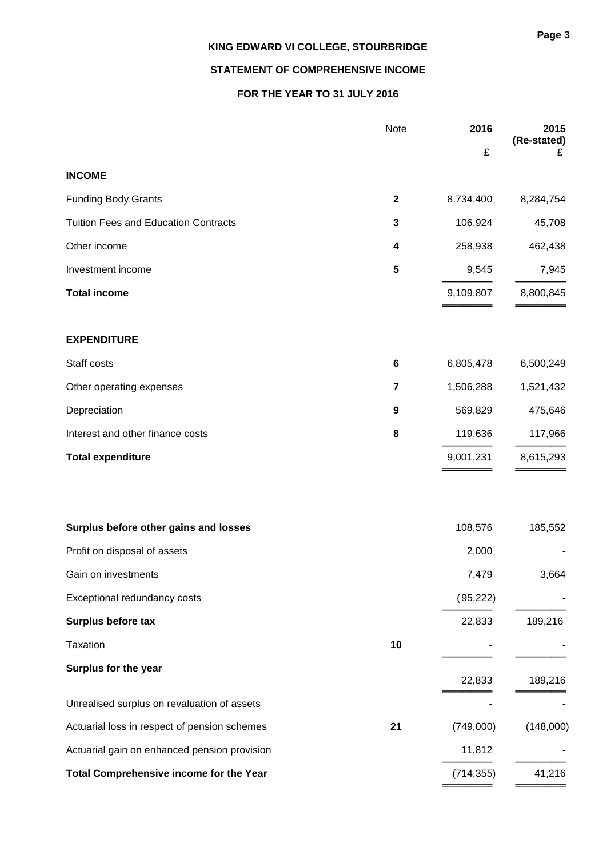# **STATEMENT OF COMPREHENSIVE INCOME**

# **FOR THE YEAR TO 31 JULY 2016**

|                                              | Note        | 2016       | 2015<br>(Re-stated) |
|----------------------------------------------|-------------|------------|---------------------|
|                                              |             | £          | £                   |
| <b>INCOME</b>                                |             |            |                     |
| <b>Funding Body Grants</b>                   | $\mathbf 2$ | 8,734,400  | 8,284,754           |
| <b>Tuition Fees and Education Contracts</b>  | 3           | 106,924    | 45,708              |
| Other income                                 | 4           | 258,938    | 462,438             |
| Investment income                            | 5           | 9,545      | 7,945               |
| <b>Total income</b>                          |             | 9,109,807  | 8,800,845           |
| <b>EXPENDITURE</b>                           |             |            |                     |
| Staff costs                                  | 6           | 6,805,478  | 6,500,249           |
| Other operating expenses                     | 7           | 1,506,288  | 1,521,432           |
| Depreciation                                 | 9           | 569,829    | 475,646             |
| Interest and other finance costs             | 8           | 119,636    | 117,966             |
| <b>Total expenditure</b>                     |             | 9,001,231  | 8,615,293           |
|                                              |             |            |                     |
| Surplus before other gains and losses        |             | 108,576    | 185,552             |
| Profit on disposal of assets                 |             | 2,000      |                     |
| Gain on investments                          |             | 7,479      | 3,664               |
| Exceptional redundancy costs                 |             | (95, 222)  |                     |
| Surplus before tax                           |             | 22,833     | 189,216             |
| Taxation                                     | 10          |            |                     |
| Surplus for the year                         |             | 22,833     | 189,216             |
| Unrealised surplus on revaluation of assets  |             |            |                     |
| Actuarial loss in respect of pension schemes | 21          | (749,000)  | (148,000)           |
| Actuarial gain on enhanced pension provision |             | 11,812     |                     |
| Total Comprehensive income for the Year      |             | (714, 355) | 41,216              |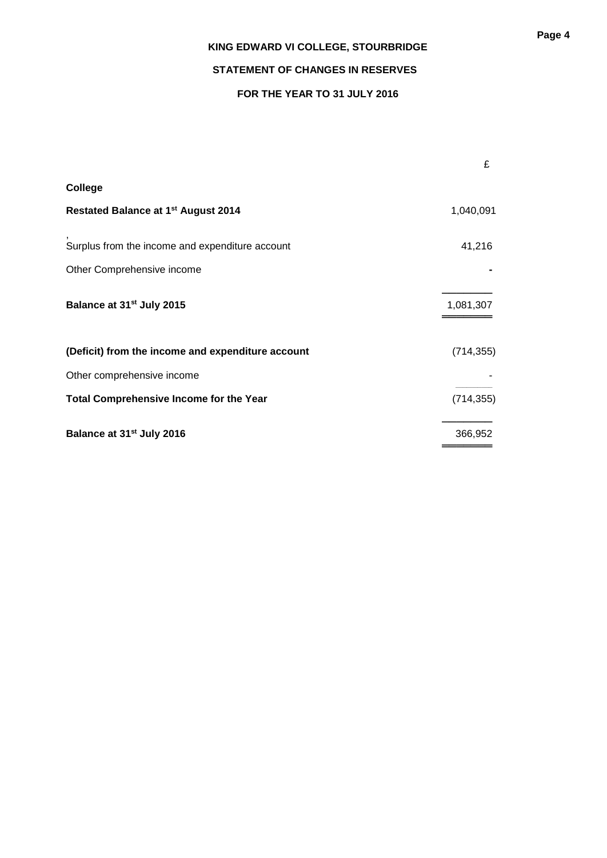# **STATEMENT OF CHANGES IN RESERVES**

# **FOR THE YEAR TO 31 JULY 2016**

|                                                   | £          |
|---------------------------------------------------|------------|
| College                                           |            |
| <b>Restated Balance at 1st August 2014</b>        | 1,040,091  |
| Surplus from the income and expenditure account   | 41,216     |
| Other Comprehensive income                        |            |
| Balance at 31 <sup>st</sup> July 2015             | 1,081,307  |
| (Deficit) from the income and expenditure account | (714, 355) |
| Other comprehensive income                        |            |
| <b>Total Comprehensive Income for the Year</b>    | (714, 355) |
| Balance at 31 <sup>st</sup> July 2016             | 366,952    |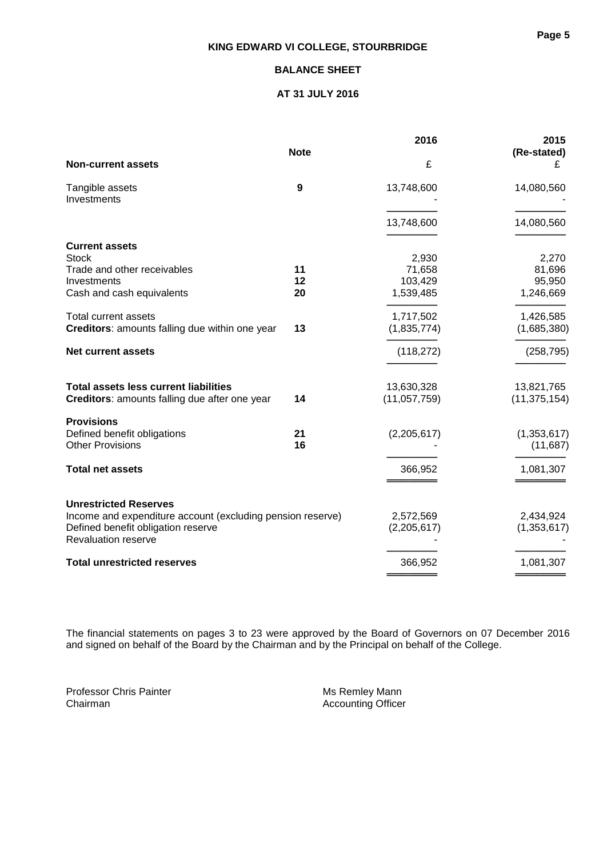# **BALANCE SHEET**

## **AT 31 JULY 2016**

|                                                            |                  | 2016         | 2015           |
|------------------------------------------------------------|------------------|--------------|----------------|
|                                                            | <b>Note</b>      |              | (Re-stated)    |
| <b>Non-current assets</b>                                  |                  | £            | £              |
| Tangible assets                                            | $\boldsymbol{9}$ | 13,748,600   | 14,080,560     |
| Investments                                                |                  |              |                |
|                                                            |                  |              |                |
|                                                            |                  | 13,748,600   | 14,080,560     |
| <b>Current assets</b>                                      |                  |              |                |
| <b>Stock</b>                                               |                  | 2,930        | 2,270          |
| Trade and other receivables                                | 11               | 71,658       | 81,696         |
| Investments                                                | 12               | 103,429      | 95,950         |
| Cash and cash equivalents                                  | 20               | 1,539,485    | 1,246,669      |
| <b>Total current assets</b>                                |                  | 1,717,502    | 1,426,585      |
| Creditors: amounts falling due within one year             | 13               | (1,835,774)  | (1,685,380)    |
| <b>Net current assets</b>                                  |                  | (118, 272)   | (258, 795)     |
|                                                            |                  |              |                |
| <b>Total assets less current liabilities</b>               |                  | 13,630,328   | 13,821,765     |
| Creditors: amounts falling due after one year              | 14               | (11,057,759) | (11, 375, 154) |
|                                                            |                  |              |                |
| <b>Provisions</b>                                          |                  |              |                |
| Defined benefit obligations                                | 21               | (2,205,617)  | (1, 353, 617)  |
| <b>Other Provisions</b>                                    | 16               |              | (11, 687)      |
| <b>Total net assets</b>                                    |                  | 366,952      | 1,081,307      |
|                                                            |                  |              |                |
| <b>Unrestricted Reserves</b>                               |                  |              |                |
| Income and expenditure account (excluding pension reserve) |                  | 2,572,569    | 2,434,924      |
| Defined benefit obligation reserve                         |                  | (2,205,617)  | (1, 353, 617)  |
| <b>Revaluation reserve</b>                                 |                  |              |                |
| <b>Total unrestricted reserves</b>                         |                  | 366,952      | 1,081,307      |
|                                                            |                  |              |                |

The financial statements on pages 3 to 23 were approved by the Board of Governors on 07 December 2016 and signed on behalf of the Board by the Chairman and by the Principal on behalf of the College.

Professor Chris Painter Professor Chris Painter **Accounting Chairman**<br>Chairman Accounting Officer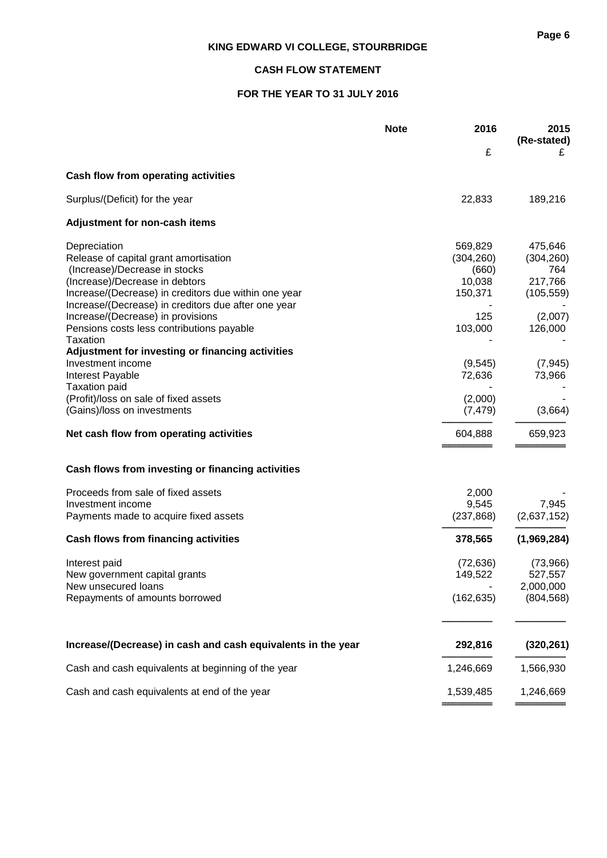# **CASH FLOW STATEMENT**

# **FOR THE YEAR TO 31 JULY 2016**

|                                                              | <b>Note</b> | 2016       | 2015<br>(Re-stated) |
|--------------------------------------------------------------|-------------|------------|---------------------|
|                                                              |             | £          | £                   |
| <b>Cash flow from operating activities</b>                   |             |            |                     |
| Surplus/(Deficit) for the year                               |             | 22,833     | 189,216             |
| Adjustment for non-cash items                                |             |            |                     |
| Depreciation                                                 |             | 569,829    | 475,646             |
| Release of capital grant amortisation                        |             | (304, 260) | (304, 260)          |
| (Increase)/Decrease in stocks                                |             | (660)      | 764                 |
| (Increase)/Decrease in debtors                               |             | 10,038     | 217,766             |
| Increase/(Decrease) in creditors due within one year         |             | 150,371    | (105, 559)          |
| Increase/(Decrease) in creditors due after one year          |             |            |                     |
| Increase/(Decrease) in provisions                            |             | 125        | (2,007)             |
| Pensions costs less contributions payable                    |             | 103,000    | 126,000             |
| Taxation                                                     |             |            |                     |
| Adjustment for investing or financing activities             |             |            |                     |
| Investment income                                            |             | (9, 545)   | (7, 945)            |
| Interest Payable                                             |             | 72,636     | 73,966              |
| <b>Taxation paid</b>                                         |             |            |                     |
| (Profit)/loss on sale of fixed assets                        |             | (2,000)    |                     |
| (Gains)/loss on investments                                  |             | (7, 479)   | (3,664)             |
| Net cash flow from operating activities                      |             | 604,888    | 659,923             |
| Cash flows from investing or financing activities            |             |            |                     |
| Proceeds from sale of fixed assets                           |             | 2,000      |                     |
| Investment income                                            |             | 9,545      | 7,945               |
| Payments made to acquire fixed assets                        |             | (237, 868) | (2,637,152)         |
| Cash flows from financing activities                         |             | 378,565    | (1,969,284)         |
| Interest paid                                                |             | (72, 636)  | (73,966)            |
| New government capital grants                                |             | 149,522    | 527,557             |
| New unsecured loans                                          |             |            | 2,000,000           |
| Repayments of amounts borrowed                               |             | (162, 635) | (804, 568)          |
|                                                              |             |            |                     |
| Increase/(Decrease) in cash and cash equivalents in the year |             | 292,816    | (320, 261)          |
| Cash and cash equivalents at beginning of the year           |             | 1,246,669  | 1,566,930           |
| Cash and cash equivalents at end of the year                 |             | 1,539,485  | 1,246,669           |
|                                                              |             |            |                     |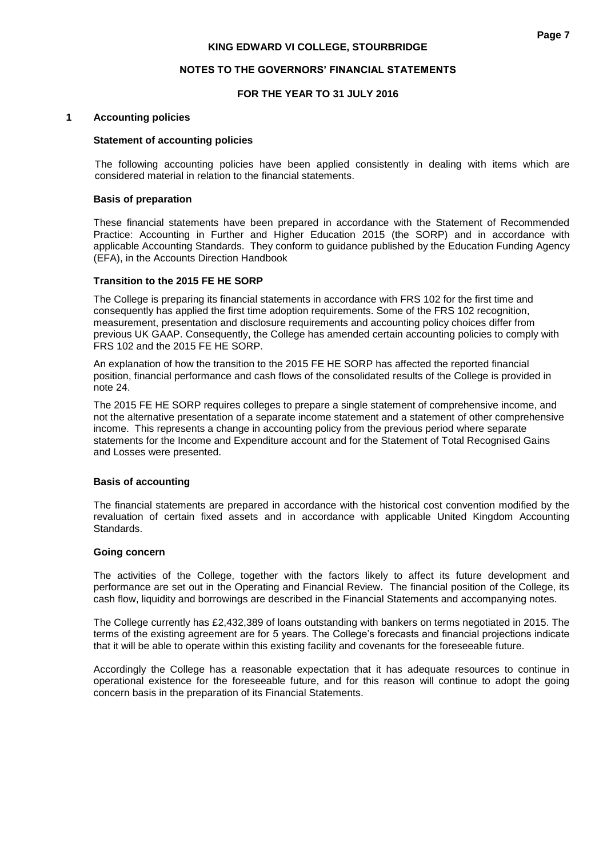#### **NOTES TO THE GOVERNORS' FINANCIAL STATEMENTS**

### **FOR THE YEAR TO 31 JULY 2016**

#### **1 Accounting policies**

#### **Statement of accounting policies**

The following accounting policies have been applied consistently in dealing with items which are considered material in relation to the financial statements.

#### **Basis of preparation**

These financial statements have been prepared in accordance with the Statement of Recommended Practice: Accounting in Further and Higher Education 2015 (the SORP) and in accordance with applicable Accounting Standards. They conform to guidance published by the Education Funding Agency (EFA), in the Accounts Direction Handbook

#### **Transition to the 2015 FE HE SORP**

The College is preparing its financial statements in accordance with FRS 102 for the first time and consequently has applied the first time adoption requirements. Some of the FRS 102 recognition, measurement, presentation and disclosure requirements and accounting policy choices differ from previous UK GAAP. Consequently, the College has amended certain accounting policies to comply with FRS 102 and the 2015 FE HE SORP.

An explanation of how the transition to the 2015 FE HE SORP has affected the reported financial position, financial performance and cash flows of the consolidated results of the College is provided in note 24.

The 2015 FE HE SORP requires colleges to prepare a single statement of comprehensive income, and not the alternative presentation of a separate income statement and a statement of other comprehensive income. This represents a change in accounting policy from the previous period where separate statements for the Income and Expenditure account and for the Statement of Total Recognised Gains and Losses were presented.

#### **Basis of accounting**

The financial statements are prepared in accordance with the historical cost convention modified by the revaluation of certain fixed assets and in accordance with applicable United Kingdom Accounting Standards.

#### **Going concern**

The activities of the College, together with the factors likely to affect its future development and performance are set out in the Operating and Financial Review. The financial position of the College, its cash flow, liquidity and borrowings are described in the Financial Statements and accompanying notes.

The College currently has £2,432,389 of loans outstanding with bankers on terms negotiated in 2015. The terms of the existing agreement are for 5 years. The College's forecasts and financial projections indicate that it will be able to operate within this existing facility and covenants for the foreseeable future.

Accordingly the College has a reasonable expectation that it has adequate resources to continue in operational existence for the foreseeable future, and for this reason will continue to adopt the going concern basis in the preparation of its Financial Statements.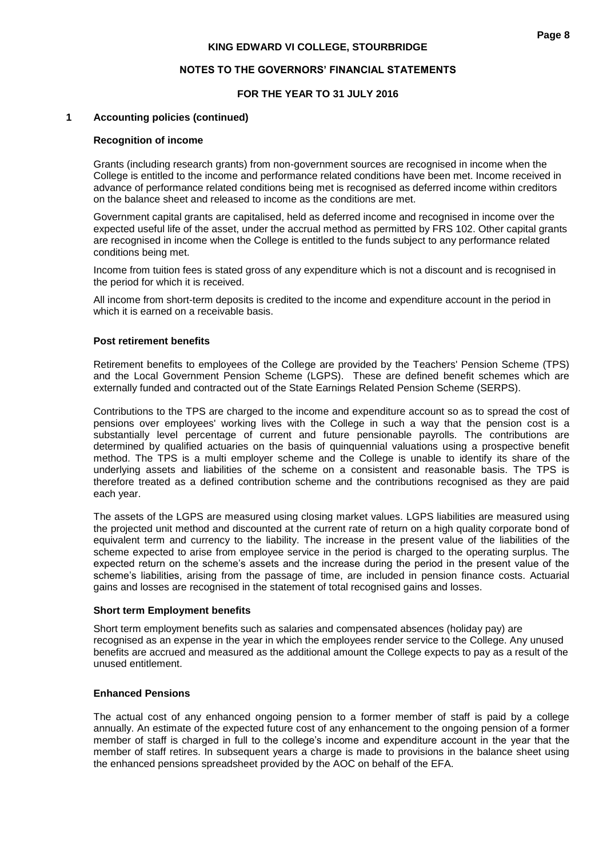# **FOR THE YEAR TO 31 JULY 2016**

## **1 Accounting policies (continued)**

#### **Recognition of income**

Grants (including research grants) from non-government sources are recognised in income when the College is entitled to the income and performance related conditions have been met. Income received in advance of performance related conditions being met is recognised as deferred income within creditors on the balance sheet and released to income as the conditions are met.

Government capital grants are capitalised, held as deferred income and recognised in income over the expected useful life of the asset, under the accrual method as permitted by FRS 102. Other capital grants are recognised in income when the College is entitled to the funds subject to any performance related conditions being met.

Income from tuition fees is stated gross of any expenditure which is not a discount and is recognised in the period for which it is received.

All income from short-term deposits is credited to the income and expenditure account in the period in which it is earned on a receivable basis.

#### **Post retirement benefits**

Retirement benefits to employees of the College are provided by the Teachers' Pension Scheme (TPS) and the Local Government Pension Scheme (LGPS). These are defined benefit schemes which are externally funded and contracted out of the State Earnings Related Pension Scheme (SERPS).

Contributions to the TPS are charged to the income and expenditure account so as to spread the cost of pensions over employees' working lives with the College in such a way that the pension cost is a substantially level percentage of current and future pensionable payrolls. The contributions are determined by qualified actuaries on the basis of quinquennial valuations using a prospective benefit method. The TPS is a multi employer scheme and the College is unable to identify its share of the underlying assets and liabilities of the scheme on a consistent and reasonable basis. The TPS is therefore treated as a defined contribution scheme and the contributions recognised as they are paid each year.

The assets of the LGPS are measured using closing market values. LGPS liabilities are measured using the projected unit method and discounted at the current rate of return on a high quality corporate bond of equivalent term and currency to the liability. The increase in the present value of the liabilities of the scheme expected to arise from employee service in the period is charged to the operating surplus. The expected return on the scheme's assets and the increase during the period in the present value of the scheme's liabilities, arising from the passage of time, are included in pension finance costs. Actuarial gains and losses are recognised in the statement of total recognised gains and losses.

#### **Short term Employment benefits**

Short term employment benefits such as salaries and compensated absences (holiday pay) are recognised as an expense in the year in which the employees render service to the College. Any unused benefits are accrued and measured as the additional amount the College expects to pay as a result of the unused entitlement.

#### **Enhanced Pensions**

The actual cost of any enhanced ongoing pension to a former member of staff is paid by a college annually. An estimate of the expected future cost of any enhancement to the ongoing pension of a former member of staff is charged in full to the college's income and expenditure account in the year that the member of staff retires. In subsequent years a charge is made to provisions in the balance sheet using the enhanced pensions spreadsheet provided by the AOC on behalf of the EFA.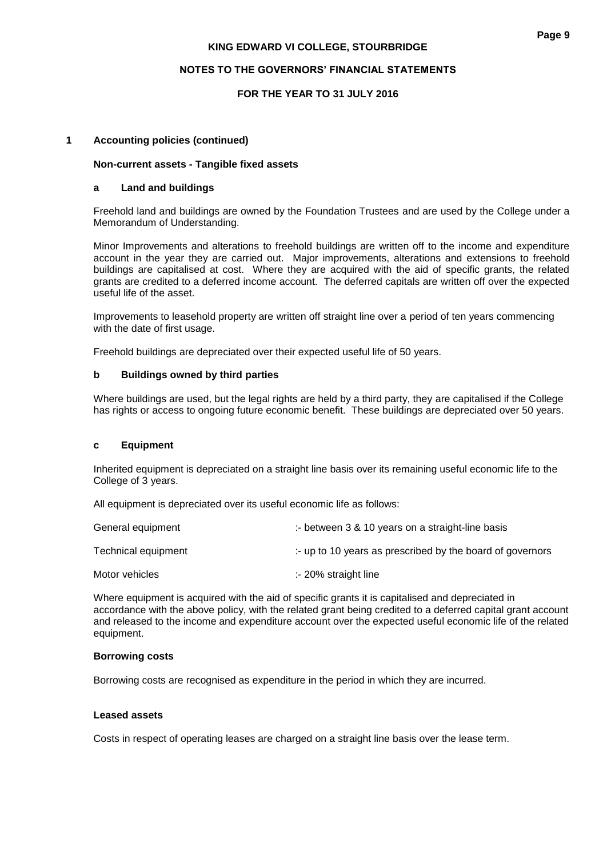## **NOTES TO THE GOVERNORS' FINANCIAL STATEMENTS**

# **FOR THE YEAR TO 31 JULY 2016**

## **1 Accounting policies (continued)**

#### **Non-current assets - Tangible fixed assets**

## **a Land and buildings**

Freehold land and buildings are owned by the Foundation Trustees and are used by the College under a Memorandum of Understanding.

Minor Improvements and alterations to freehold buildings are written off to the income and expenditure account in the year they are carried out. Major improvements, alterations and extensions to freehold buildings are capitalised at cost. Where they are acquired with the aid of specific grants, the related grants are credited to a deferred income account. The deferred capitals are written off over the expected useful life of the asset.

Improvements to leasehold property are written off straight line over a period of ten years commencing with the date of first usage.

Freehold buildings are depreciated over their expected useful life of 50 years.

#### **b Buildings owned by third parties**

Where buildings are used, but the legal rights are held by a third party, they are capitalised if the College has rights or access to ongoing future economic benefit. These buildings are depreciated over 50 years.

#### **c Equipment**

Inherited equipment is depreciated on a straight line basis over its remaining useful economic life to the College of 3 years.

All equipment is depreciated over its useful economic life as follows:

| General equipment   | :- between $3 \& 10$ years on a straight-line basis       |
|---------------------|-----------------------------------------------------------|
| Technical equipment | :- up to 10 years as prescribed by the board of governors |
| Motor vehicles      | $\therefore$ 20% straight line                            |

Where equipment is acquired with the aid of specific grants it is capitalised and depreciated in accordance with the above policy, with the related grant being credited to a deferred capital grant account and released to the income and expenditure account over the expected useful economic life of the related equipment.

#### **Borrowing costs**

Borrowing costs are recognised as expenditure in the period in which they are incurred.

#### **Leased assets**

Costs in respect of operating leases are charged on a straight line basis over the lease term.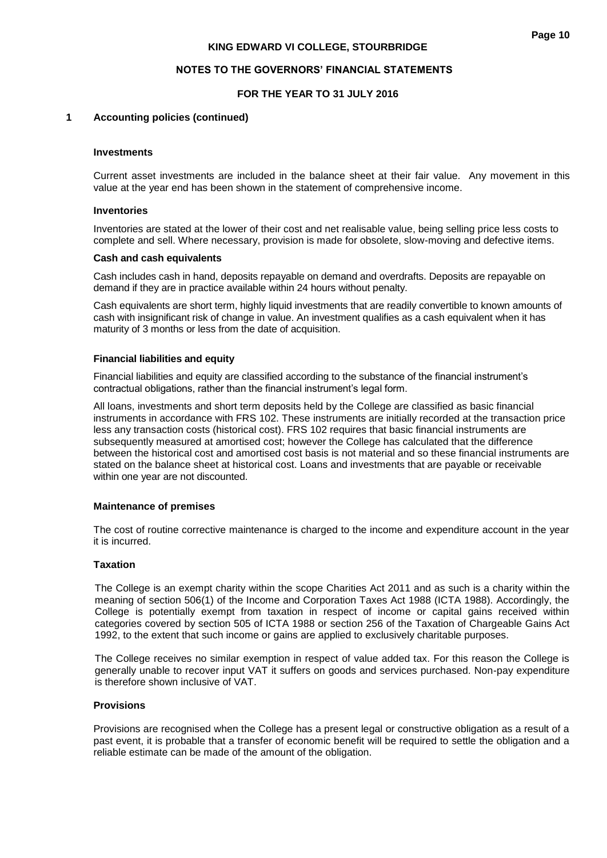#### **NOTES TO THE GOVERNORS' FINANCIAL STATEMENTS**

## **FOR THE YEAR TO 31 JULY 2016**

#### **1 Accounting policies (continued)**

#### **Investments**

Current asset investments are included in the balance sheet at their fair value. Any movement in this value at the year end has been shown in the statement of comprehensive income.

#### **Inventories**

Inventories are stated at the lower of their cost and net realisable value, being selling price less costs to complete and sell. Where necessary, provision is made for obsolete, slow-moving and defective items.

#### **Cash and cash equivalents**

Cash includes cash in hand, deposits repayable on demand and overdrafts. Deposits are repayable on demand if they are in practice available within 24 hours without penalty.

Cash equivalents are short term, highly liquid investments that are readily convertible to known amounts of cash with insignificant risk of change in value. An investment qualifies as a cash equivalent when it has maturity of 3 months or less from the date of acquisition.

#### **Financial liabilities and equity**

Financial liabilities and equity are classified according to the substance of the financial instrument's contractual obligations, rather than the financial instrument's legal form.

All loans, investments and short term deposits held by the College are classified as basic financial instruments in accordance with FRS 102. These instruments are initially recorded at the transaction price less any transaction costs (historical cost). FRS 102 requires that basic financial instruments are subsequently measured at amortised cost; however the College has calculated that the difference between the historical cost and amortised cost basis is not material and so these financial instruments are stated on the balance sheet at historical cost. Loans and investments that are payable or receivable within one year are not discounted.

#### **Maintenance of premises**

The cost of routine corrective maintenance is charged to the income and expenditure account in the year it is incurred.

## **Taxation**

The College is an exempt charity within the scope Charities Act 2011 and as such is a charity within the meaning of section 506(1) of the Income and Corporation Taxes Act 1988 (ICTA 1988). Accordingly, the College is potentially exempt from taxation in respect of income or capital gains received within categories covered by section 505 of ICTA 1988 or section 256 of the Taxation of Chargeable Gains Act 1992, to the extent that such income or gains are applied to exclusively charitable purposes.

The College receives no similar exemption in respect of value added tax. For this reason the College is generally unable to recover input VAT it suffers on goods and services purchased. Non-pay expenditure is therefore shown inclusive of VAT.

#### **Provisions**

Provisions are recognised when the College has a present legal or constructive obligation as a result of a past event, it is probable that a transfer of economic benefit will be required to settle the obligation and a reliable estimate can be made of the amount of the obligation.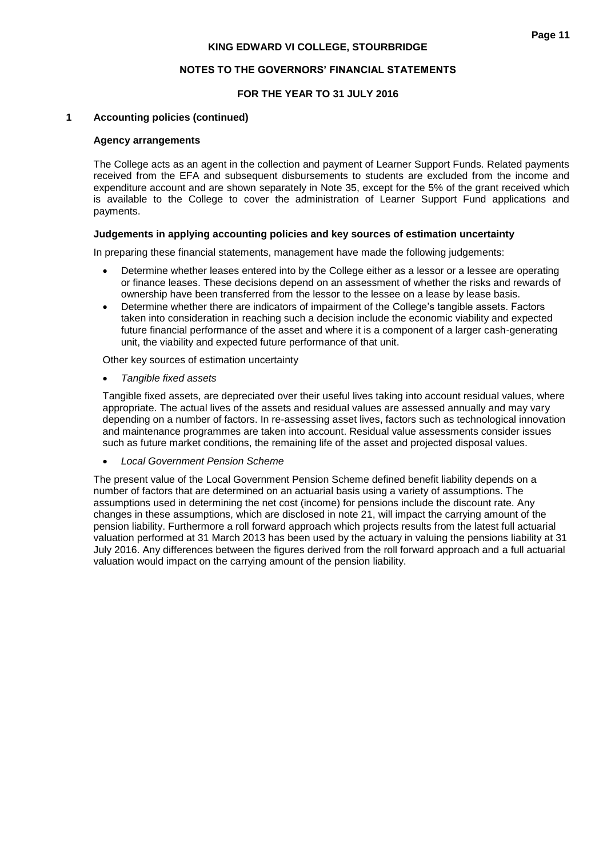## **FOR THE YEAR TO 31 JULY 2016**

#### **1 Accounting policies (continued)**

#### **Agency arrangements**

The College acts as an agent in the collection and payment of Learner Support Funds. Related payments received from the EFA and subsequent disbursements to students are excluded from the income and expenditure account and are shown separately in Note 35, except for the 5% of the grant received which is available to the College to cover the administration of Learner Support Fund applications and payments.

#### **Judgements in applying accounting policies and key sources of estimation uncertainty**

In preparing these financial statements, management have made the following judgements:

- Determine whether leases entered into by the College either as a lessor or a lessee are operating or finance leases. These decisions depend on an assessment of whether the risks and rewards of ownership have been transferred from the lessor to the lessee on a lease by lease basis.
- Determine whether there are indicators of impairment of the College's tangible assets. Factors taken into consideration in reaching such a decision include the economic viability and expected future financial performance of the asset and where it is a component of a larger cash-generating unit, the viability and expected future performance of that unit.

Other key sources of estimation uncertainty

*Tangible fixed assets*

Tangible fixed assets, are depreciated over their useful lives taking into account residual values, where appropriate. The actual lives of the assets and residual values are assessed annually and may vary depending on a number of factors. In re-assessing asset lives, factors such as technological innovation and maintenance programmes are taken into account. Residual value assessments consider issues such as future market conditions, the remaining life of the asset and projected disposal values.

*Local Government Pension Scheme*

The present value of the Local Government Pension Scheme defined benefit liability depends on a number of factors that are determined on an actuarial basis using a variety of assumptions. The assumptions used in determining the net cost (income) for pensions include the discount rate. Any changes in these assumptions, which are disclosed in note 21, will impact the carrying amount of the pension liability. Furthermore a roll forward approach which projects results from the latest full actuarial valuation performed at 31 March 2013 has been used by the actuary in valuing the pensions liability at 31 July 2016. Any differences between the figures derived from the roll forward approach and a full actuarial valuation would impact on the carrying amount of the pension liability.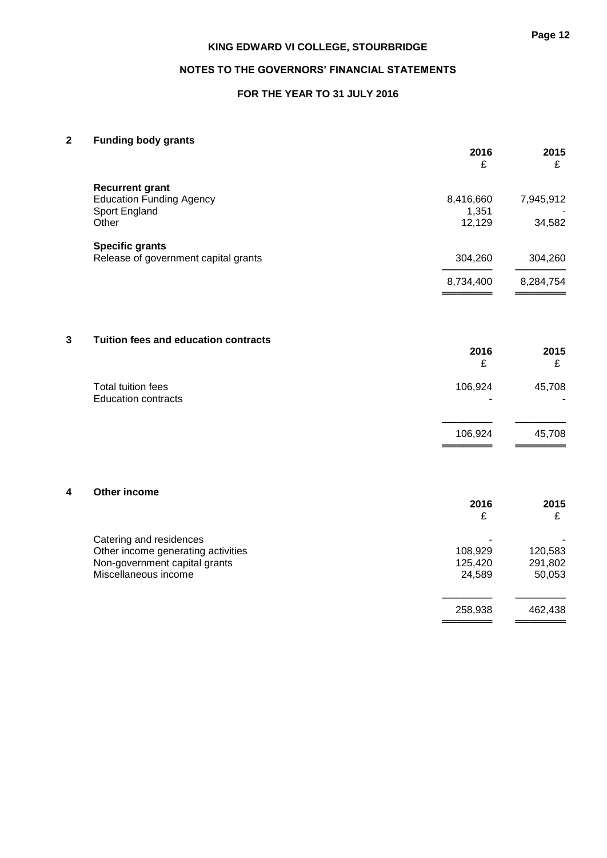# **FOR THE YEAR TO 31 JULY 2016**

# **2 Funding body grants**

|   |                                                                     | 2016<br>£          | 2015<br>£          |
|---|---------------------------------------------------------------------|--------------------|--------------------|
|   | <b>Recurrent grant</b>                                              |                    |                    |
|   | <b>Education Funding Agency</b><br>Sport England                    | 8,416,660<br>1,351 | 7,945,912          |
|   | Other                                                               | 12,129             | 34,582             |
|   | <b>Specific grants</b><br>Release of government capital grants      | 304,260            | 304,260            |
|   |                                                                     |                    |                    |
|   |                                                                     | 8,734,400          | 8,284,754          |
|   |                                                                     |                    |                    |
| 3 | Tuition fees and education contracts                                | 2016               | 2015               |
|   |                                                                     | £                  | £                  |
|   | Total tuition fees<br><b>Education contracts</b>                    | 106,924            | 45,708             |
|   |                                                                     | 106,924            | 45,708             |
|   |                                                                     |                    |                    |
| 4 | Other income                                                        | 2016               | 2015               |
|   |                                                                     | £                  | £                  |
|   | Catering and residences                                             |                    |                    |
|   | Other income generating activities<br>Non-government capital grants | 108,929<br>125,420 | 120,583<br>291,802 |
|   | Miscellaneous income                                                | 24,589             | 50,053             |
|   |                                                                     | 258,938            | 462,438            |

══════════<br>═══════════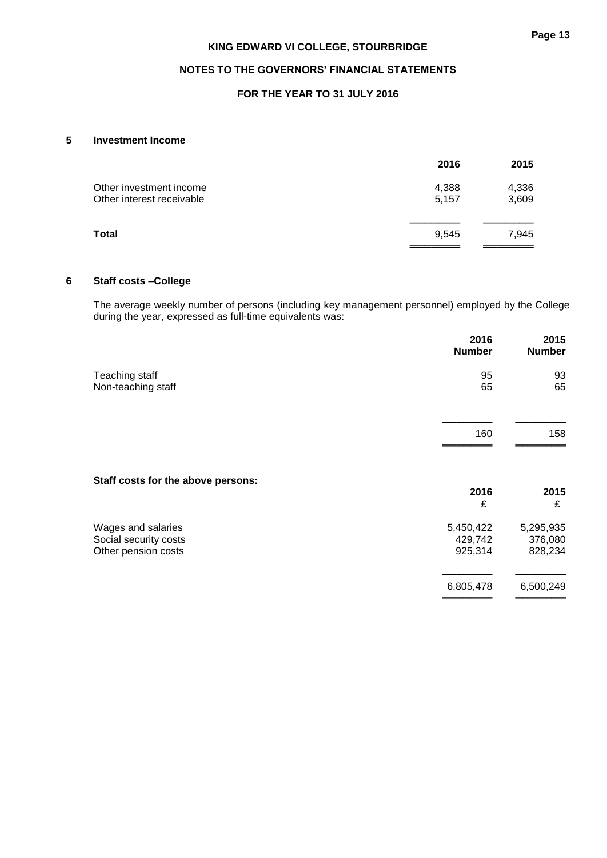# **FOR THE YEAR TO 31 JULY 2016**

# **5 Investment Income**

|                           | 2016  | 2015  |
|---------------------------|-------|-------|
| Other investment income   | 4,388 | 4,336 |
| Other interest receivable | 5.157 | 3,609 |
|                           |       |       |
| Total                     | 9.545 | 7,945 |
|                           |       |       |

## **6 Staff costs –College**

The average weekly number of persons (including key management personnel) employed by the College during the year, expressed as full-time equivalents was:

|                                                                    | 2016<br><b>Number</b>           | 2015<br><b>Number</b>           |
|--------------------------------------------------------------------|---------------------------------|---------------------------------|
| Teaching staff<br>Non-teaching staff                               | 95<br>65                        | 93<br>65                        |
|                                                                    | 160                             | 158                             |
| Staff costs for the above persons:                                 | 2016<br>£                       | 2015<br>£                       |
| Wages and salaries<br>Social security costs<br>Other pension costs | 5,450,422<br>429,742<br>925,314 | 5,295,935<br>376,080<br>828,234 |
|                                                                    | 6,805,478                       | 6,500,249                       |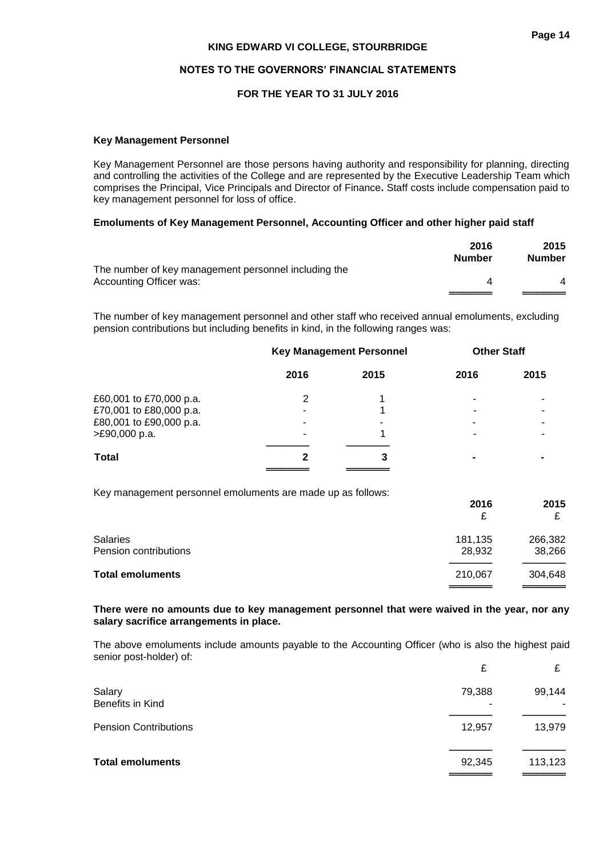#### **NOTES TO THE GOVERNORS' FINANCIAL STATEMENTS**

#### **FOR THE YEAR TO 31 JULY 2016**

#### **Key Management Personnel**

Key Management Personnel are those persons having authority and responsibility for planning, directing and controlling the activities of the College and are represented by the Executive Leadership Team which comprises the Principal, Vice Principals and Director of Finance**.** Staff costs include compensation paid to key management personnel for loss of office.

#### **Emoluments of Key Management Personnel, Accounting Officer and other higher paid staff**

|                                                      | 2016<br><b>Number</b> | 2015<br><b>Number</b> |
|------------------------------------------------------|-----------------------|-----------------------|
| The number of key management personnel including the |                       |                       |
| Accounting Officer was:                              |                       |                       |
|                                                      |                       |                       |

The number of key management personnel and other staff who received annual emoluments, excluding pension contributions but including benefits in kind, in the following ranges was:

|                         | <b>Key Management Personnel</b> |      | <b>Other Staff</b> |                |
|-------------------------|---------------------------------|------|--------------------|----------------|
|                         | 2016                            | 2015 | 2016               | 2015           |
| £60,001 to £70,000 p.a. | 2                               |      |                    |                |
| £70,001 to £80,000 p.a. |                                 |      |                    |                |
| £80,001 to £90,000 p.a. | ۰                               |      |                    | -              |
| >£90,000 p.a.           |                                 |      |                    |                |
| <b>Total</b>            |                                 | 3    |                    | $\blacksquare$ |
|                         |                                 |      |                    |                |

Key management personnel emoluments are made up as follows:

|                                   | 2016<br>£         | 2015              |
|-----------------------------------|-------------------|-------------------|
| Salaries<br>Pension contributions | 181,135<br>28,932 | 266,382<br>38,266 |
| <b>Total emoluments</b>           | 210,067           | 304,648           |

#### **There were no amounts due to key management personnel that were waived in the year, nor any salary sacrifice arrangements in place.**

The above emoluments include amounts payable to the Accounting Officer (who is also the highest paid senior post-holder) of:

|                              | £           | £       |
|------------------------------|-------------|---------|
| Salary<br>Benefits in Kind   | 79,388<br>۰ | 99,144  |
| <b>Pension Contributions</b> | 12,957      | 13,979  |
| <b>Total emoluments</b>      | 92,345      | 113,123 |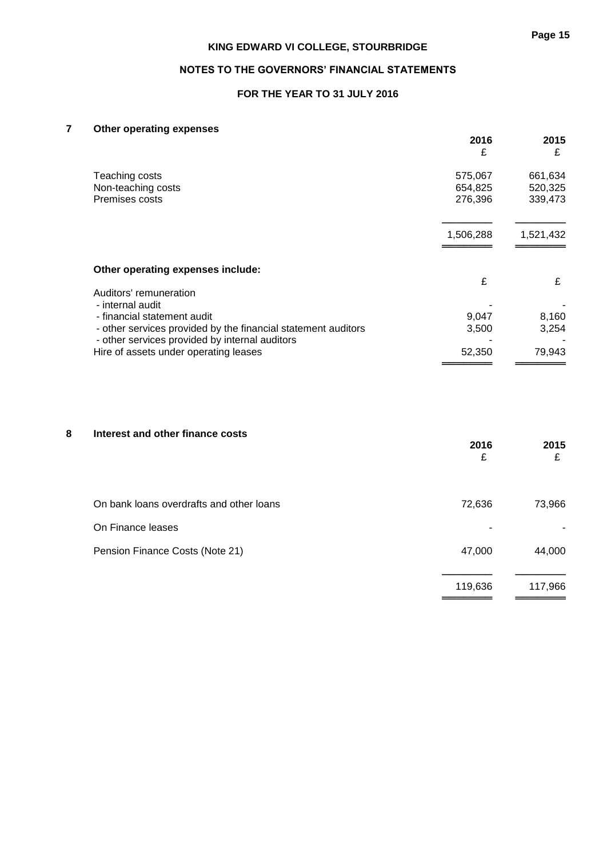# **FOR THE YEAR TO 31 JULY 2016**

# **7 Other operating expenses**

|                                                                                                                 | 2016<br>£ | 2015<br>£ |
|-----------------------------------------------------------------------------------------------------------------|-----------|-----------|
| Teaching costs                                                                                                  | 575,067   | 661,634   |
| Non-teaching costs                                                                                              | 654,825   | 520,325   |
| Premises costs                                                                                                  | 276,396   | 339,473   |
|                                                                                                                 | 1,506,288 | 1,521,432 |
| Other operating expenses include:                                                                               |           |           |
| Auditors' remuneration                                                                                          | £         | £         |
| - internal audit                                                                                                |           |           |
| - financial statement audit                                                                                     | 9,047     | 8,160     |
| - other services provided by the financial statement auditors<br>- other services provided by internal auditors | 3,500     | 3,254     |
| Hire of assets under operating leases                                                                           | 52,350    | 79,943    |
|                                                                                                                 |           |           |

# **8 Interest and other finance costs**

|                                          | 2016<br>£ | 2015<br>£ |
|------------------------------------------|-----------|-----------|
| On bank loans overdrafts and other loans | 72,636    | 73,966    |
| On Finance leases                        |           |           |
| Pension Finance Costs (Note 21)          | 47,000    | 44,000    |
|                                          | 119,636   | 117,966   |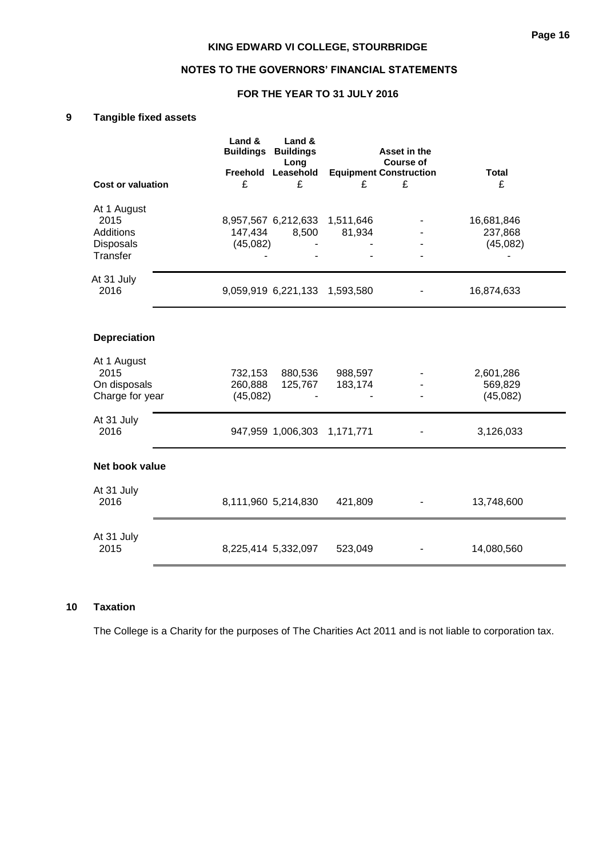# **FOR THE YEAR TO 31 JULY 2016**

# **9 Tangible fixed assets**

|                                 | Land &<br>Land &<br><b>Buildings Buildings</b><br>Long<br>Freehold<br>Leasehold |         | Asset in the<br><b>Course of</b><br><b>Equipment Construction</b> | <b>Total</b>        |
|---------------------------------|---------------------------------------------------------------------------------|---------|-------------------------------------------------------------------|---------------------|
| <b>Cost or valuation</b>        | £<br>£                                                                          | £       | £                                                                 | £                   |
| At 1 August                     |                                                                                 |         |                                                                   |                     |
| 2015                            | 8,957,567 6,212,633 1,511,646                                                   |         |                                                                   | 16,681,846          |
| <b>Additions</b>                | 147,434<br>8,500                                                                | 81,934  |                                                                   | 237,868             |
| Disposals<br>Transfer           | (45,082)                                                                        |         |                                                                   | (45,082)            |
| At 31 July                      |                                                                                 |         |                                                                   |                     |
| 2016                            | 9,059,919 6,221,133 1,593,580                                                   |         |                                                                   | 16,874,633          |
| <b>Depreciation</b>             |                                                                                 |         |                                                                   |                     |
| At 1 August                     |                                                                                 |         |                                                                   |                     |
| 2015                            | 732,153<br>880,536                                                              | 988,597 |                                                                   | 2,601,286           |
| On disposals<br>Charge for year | 260,888<br>125,767<br>(45,082)                                                  | 183,174 |                                                                   | 569,829<br>(45,082) |
| At 31 July<br>2016              | 947,959 1,006,303 1,171,771                                                     |         |                                                                   | 3,126,033           |
| Net book value                  |                                                                                 |         |                                                                   |                     |
| At 31 July<br>2016              | 8,111,960 5,214,830                                                             | 421,809 |                                                                   | 13,748,600          |
| At 31 July                      |                                                                                 |         |                                                                   |                     |

## **10 Taxation**

The College is a Charity for the purposes of The Charities Act 2011 and is not liable to corporation tax.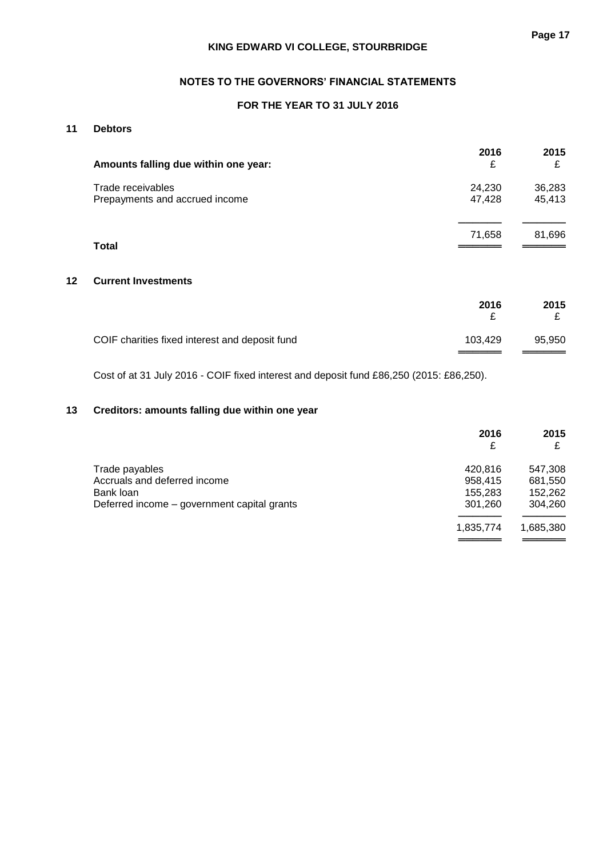# **NOTES TO THE GOVERNORS' FINANCIAL STATEMENTS**

# **FOR THE YEAR TO 31 JULY 2016**

# **11 Debtors**

| Amounts falling due within one year:                | 2016<br>£        | 2015<br>£        |
|-----------------------------------------------------|------------------|------------------|
| Trade receivables<br>Prepayments and accrued income | 24,230<br>47,428 | 36,283<br>45,413 |
| <b>Total</b>                                        | 71,658           | 81,696           |

# **12 Current Investments**

|                                                | 2016    | 2015   |
|------------------------------------------------|---------|--------|
| COIF charities fixed interest and deposit fund | 103.429 | 95,950 |

Cost of at 31 July 2016 - COIF fixed interest and deposit fund £86,250 (2015: £86,250).

# **13 Creditors: amounts falling due within one year**

|                                             | 2016<br>£ | 2015      |
|---------------------------------------------|-----------|-----------|
| Trade payables                              | 420.816   | 547,308   |
| Accruals and deferred income                | 958,415   | 681,550   |
| Bank loan                                   | 155.283   | 152,262   |
| Deferred income – government capital grants | 301,260   | 304,260   |
|                                             | 1,835,774 | 1,685,380 |
|                                             |           |           |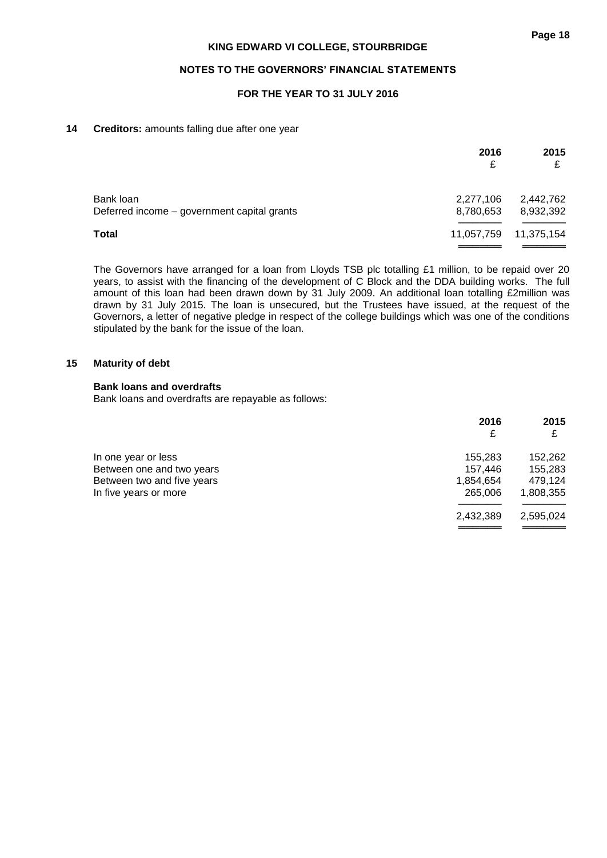# **FOR THE YEAR TO 31 JULY 2016**

## **14 Creditors:** amounts falling due after one year

|                                                          | 2016<br>£              | 2015<br>£              |
|----------------------------------------------------------|------------------------|------------------------|
| Bank loan<br>Deferred income – government capital grants | 2,277,106<br>8,780,653 | 2,442,762<br>8,932,392 |
| <b>Total</b>                                             | 11,057,759             | 11,375,154             |

The Governors have arranged for a loan from Lloyds TSB plc totalling £1 million, to be repaid over 20 years, to assist with the financing of the development of C Block and the DDA building works. The full amount of this loan had been drawn down by 31 July 2009. An additional loan totalling £2million was drawn by 31 July 2015. The loan is unsecured, but the Trustees have issued, at the request of the Governors, a letter of negative pledge in respect of the college buildings which was one of the conditions stipulated by the bank for the issue of the loan.

#### **15 Maturity of debt**

## **Bank loans and overdrafts**

Bank loans and overdrafts are repayable as follows:

|                            | 2016      | 2015      |
|----------------------------|-----------|-----------|
|                            | £         | £         |
| In one year or less        | 155.283   | 152,262   |
| Between one and two years  | 157.446   | 155,283   |
| Between two and five years | 1,854,654 | 479,124   |
| In five years or more      | 265,006   | 1,808,355 |
|                            | 2,432,389 | 2,595,024 |
|                            |           |           |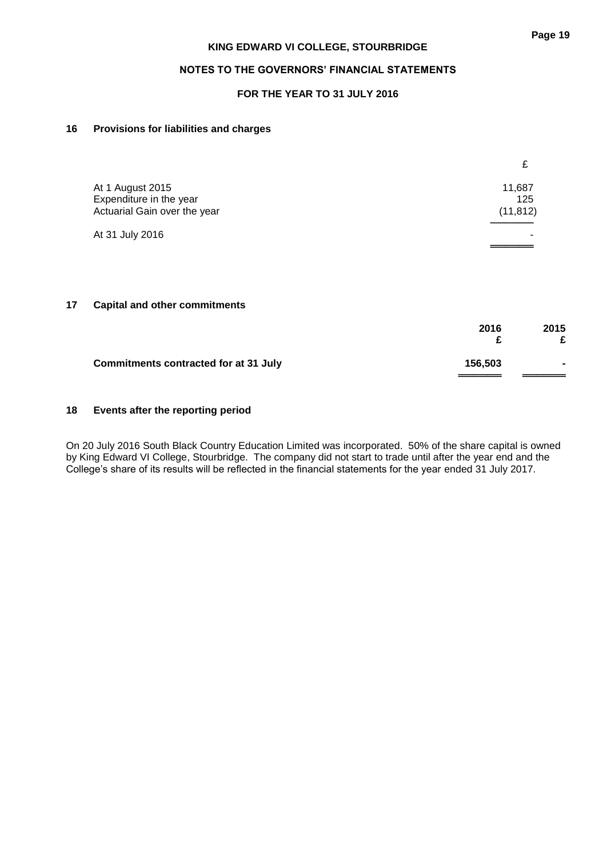# **FOR THE YEAR TO 31 JULY 2016**

# **16 Provisions for liabilities and charges**

|                                                                             | £                          |
|-----------------------------------------------------------------------------|----------------------------|
| At 1 August 2015<br>Expenditure in the year<br>Actuarial Gain over the year | 11,687<br>125<br>(11, 812) |
| At 31 July 2016                                                             |                            |

## **17 Capital and other commitments**

|                                              | 2016    | 2015                     |
|----------------------------------------------|---------|--------------------------|
| <b>Commitments contracted for at 31 July</b> | 156,503 | $\overline{\phantom{a}}$ |

# **18 Events after the reporting period**

On 20 July 2016 South Black Country Education Limited was incorporated. 50% of the share capital is owned by King Edward VI College, Stourbridge. The company did not start to trade until after the year end and the College's share of its results will be reflected in the financial statements for the year ended 31 July 2017.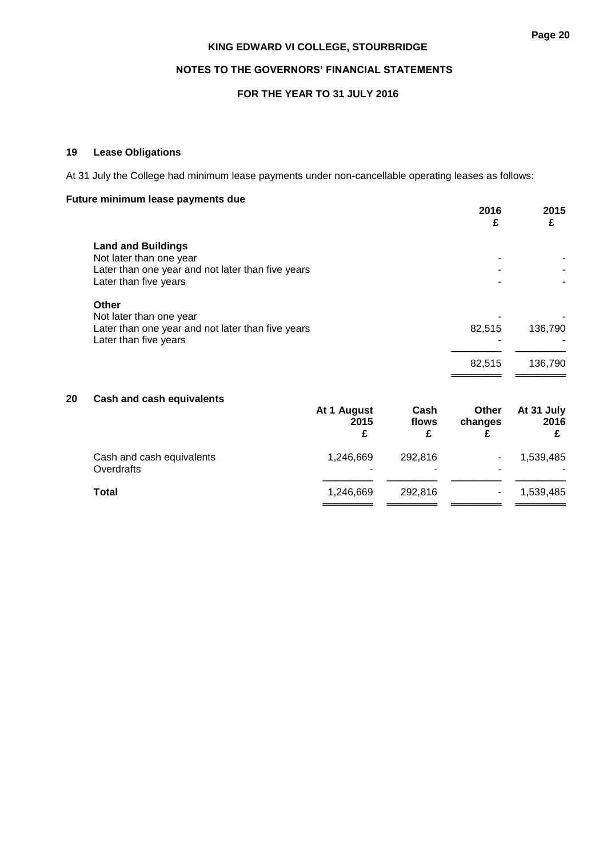# **NOTES TO THE GOVERNORS' FINANCIAL STATEMENTS**

# **FOR THE YEAR TO 31 JULY 2016**

# **19 Lease Obligations**

At 31 July the College had minimum lease payments under non-cancellable operating leases as follows:

# **Future minimum lease payments due**

|    |                                                                                                                                    |                          |                    | 2016<br>£             | 2015<br>£               |
|----|------------------------------------------------------------------------------------------------------------------------------------|--------------------------|--------------------|-----------------------|-------------------------|
|    | <b>Land and Buildings</b><br>Not later than one year<br>Later than one year and not later than five years<br>Later than five years |                          |                    |                       |                         |
|    | Other<br>Not later than one year<br>Later than one year and not later than five years<br>Later than five years                     |                          |                    | 82,515                | 136,790                 |
|    |                                                                                                                                    |                          |                    | 82,515                | 136,790                 |
| 20 | <b>Cash and cash equivalents</b>                                                                                                   | At 1 August<br>2015<br>£ | Cash<br>flows<br>£ | Other<br>changes<br>£ | At 31 July<br>2016<br>£ |
|    | Cash and cash equivalents<br>Overdrafts                                                                                            | 1,246,669                | 292,816            |                       | 1,539,485               |
|    | <b>Total</b>                                                                                                                       | 1,246,669                | 292,816            |                       | 1,539,485               |

═══════ ═══════ ═══════ ═══════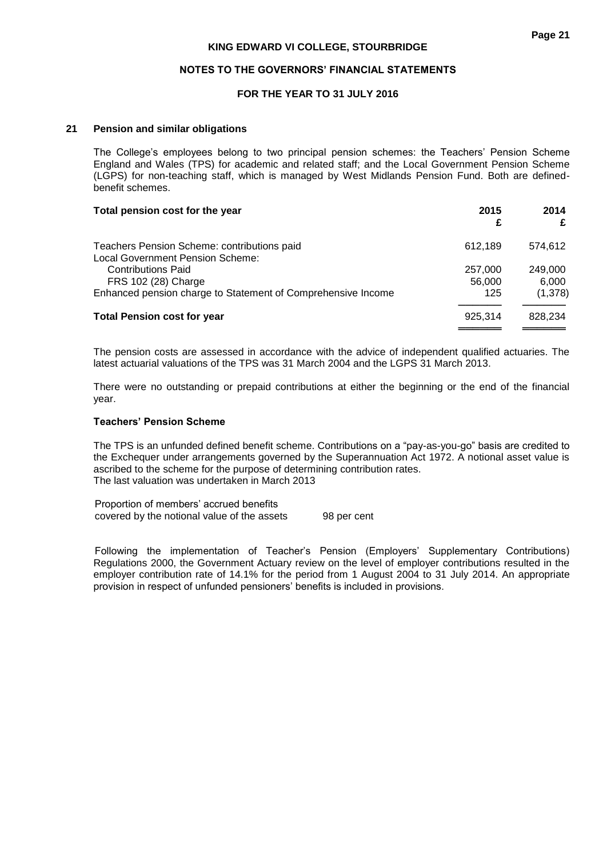## **NOTES TO THE GOVERNORS' FINANCIAL STATEMENTS**

# **FOR THE YEAR TO 31 JULY 2016**

## **21 Pension and similar obligations**

The College's employees belong to two principal pension schemes: the Teachers' Pension Scheme England and Wales (TPS) for academic and related staff; and the Local Government Pension Scheme (LGPS) for non-teaching staff, which is managed by West Midlands Pension Fund. Both are definedbenefit schemes.

| Total pension cost for the year                                                 | 2015<br>£ | 2014<br>£ |
|---------------------------------------------------------------------------------|-----------|-----------|
| Teachers Pension Scheme: contributions paid<br>Local Government Pension Scheme: | 612.189   | 574.612   |
| <b>Contributions Paid</b>                                                       | 257,000   | 249,000   |
| FRS 102 (28) Charge                                                             | 56,000    | 6.000     |
| Enhanced pension charge to Statement of Comprehensive Income                    | 125       | (1,378)   |
| <b>Total Pension cost for year</b>                                              | 925,314   | 828,234   |
|                                                                                 |           |           |

The pension costs are assessed in accordance with the advice of independent qualified actuaries. The latest actuarial valuations of the TPS was 31 March 2004 and the LGPS 31 March 2013.

There were no outstanding or prepaid contributions at either the beginning or the end of the financial year.

## **Teachers' Pension Scheme**

The TPS is an unfunded defined benefit scheme. Contributions on a "pay-as-you-go" basis are credited to the Exchequer under arrangements governed by the Superannuation Act 1972. A notional asset value is ascribed to the scheme for the purpose of determining contribution rates. The last valuation was undertaken in March 2013

Proportion of members' accrued benefits covered by the notional value of the assets 98 per cent

Following the implementation of Teacher's Pension (Employers' Supplementary Contributions) Regulations 2000, the Government Actuary review on the level of employer contributions resulted in the employer contribution rate of 14.1% for the period from 1 August 2004 to 31 July 2014. An appropriate provision in respect of unfunded pensioners' benefits is included in provisions.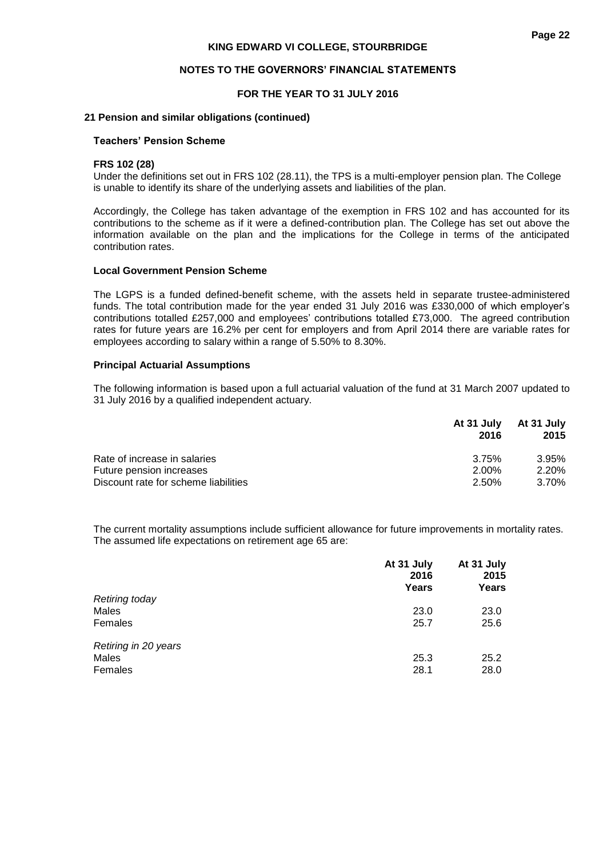#### **NOTES TO THE GOVERNORS' FINANCIAL STATEMENTS**

#### **FOR THE YEAR TO 31 JULY 2016**

#### **21 Pension and similar obligations (continued)**

#### **Teachers' Pension Scheme**

#### **FRS 102 (28)**

Under the definitions set out in FRS 102 (28.11), the TPS is a multi-employer pension plan. The College is unable to identify its share of the underlying assets and liabilities of the plan.

Accordingly, the College has taken advantage of the exemption in FRS 102 and has accounted for its contributions to the scheme as if it were a defined-contribution plan. The College has set out above the information available on the plan and the implications for the College in terms of the anticipated contribution rates.

#### **Local Government Pension Scheme**

The LGPS is a funded defined-benefit scheme, with the assets held in separate trustee-administered funds. The total contribution made for the year ended 31 July 2016 was £330,000 of which employer's contributions totalled £257,000 and employees' contributions totalled £73,000. The agreed contribution rates for future years are 16.2% per cent for employers and from April 2014 there are variable rates for employees according to salary within a range of 5.50% to 8.30%.

#### **Principal Actuarial Assumptions**

The following information is based upon a full actuarial valuation of the fund at 31 March 2007 updated to 31 July 2016 by a qualified independent actuary.

|                                      | At 31 July<br>2016 | At 31 July<br>2015 |
|--------------------------------------|--------------------|--------------------|
| Rate of increase in salaries         | 3.75%              | 3.95%              |
| Future pension increases             | 2.00%              | 2.20%              |
| Discount rate for scheme liabilities | 2.50%              | 3.70%              |

The current mortality assumptions include sufficient allowance for future improvements in mortality rates. The assumed life expectations on retirement age 65 are:

|                       | At 31 July<br>2016<br>Years | At 31 July<br>2015<br>Years |
|-----------------------|-----------------------------|-----------------------------|
| <b>Retiring today</b> |                             |                             |
| Males                 | 23.0                        | 23.0                        |
| Females               | 25.7                        | 25.6                        |
| Retiring in 20 years  |                             |                             |
| Males                 | 25.3                        | 25.2                        |
| Females               | 28.1                        | 28.0                        |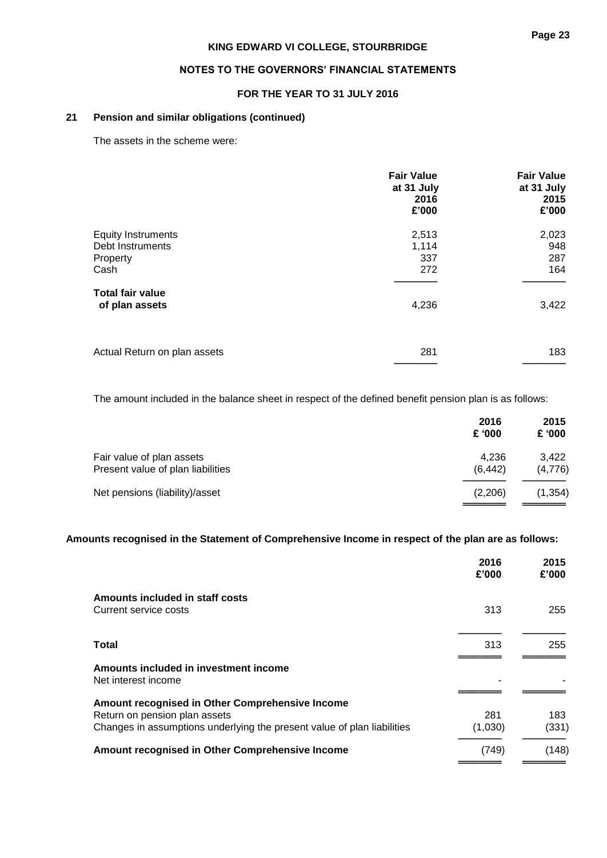# **NOTES TO THE GOVERNORS' FINANCIAL STATEMENTS**

# **FOR THE YEAR TO 31 JULY 2016**

# **21 Pension and similar obligations (continued)**

The assets in the scheme were:

|                                                                   | <b>Fair Value</b><br>at 31 July<br>2016<br>£'000 | <b>Fair Value</b><br>at 31 July<br>2015<br>£'000 |
|-------------------------------------------------------------------|--------------------------------------------------|--------------------------------------------------|
| <b>Equity Instruments</b><br>Debt Instruments<br>Property<br>Cash | 2,513<br>1,114<br>337<br>272                     | 2,023<br>948<br>287<br>164                       |
| <b>Total fair value</b><br>of plan assets                         | 4,236                                            | 3,422                                            |
| Actual Return on plan assets                                      | 281                                              | 183                                              |

The amount included in the balance sheet in respect of the defined benefit pension plan is as follows:

|                                                                | 2016<br>£ '000   | 2015<br>£ '000   |
|----------------------------------------------------------------|------------------|------------------|
| Fair value of plan assets<br>Present value of plan liabilities | 4,236<br>(6.442) | 3,422<br>(4,776) |
| Net pensions (liability)/asset                                 | (2,206)          | (1, 354)         |

## **Amounts recognised in the Statement of Comprehensive Income in respect of the plan are as follows:**

|                                                                         | 2016<br>£'000 | 2015<br>£'000 |
|-------------------------------------------------------------------------|---------------|---------------|
| Amounts included in staff costs                                         |               |               |
| Current service costs                                                   | 313           | 255           |
|                                                                         |               |               |
| Total                                                                   | 313           | 255           |
| Amounts included in investment income                                   |               |               |
| Net interest income                                                     |               |               |
| Amount recognised in Other Comprehensive Income                         |               |               |
| Return on pension plan assets                                           | 281           | 183           |
| Changes in assumptions underlying the present value of plan liabilities | (1,030)       | (331)         |
| Amount recognised in Other Comprehensive Income                         | (749)         | (148)         |
|                                                                         |               |               |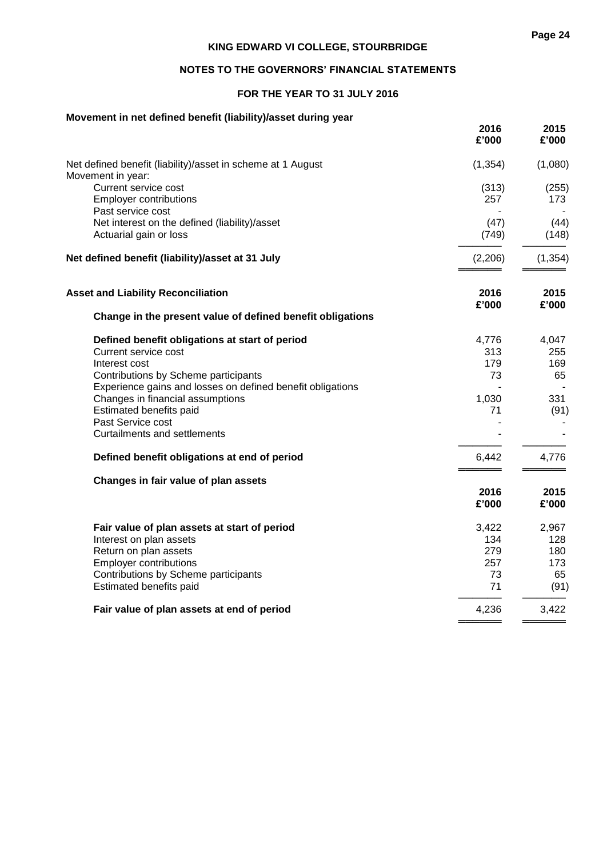# **NOTES TO THE GOVERNORS' FINANCIAL STATEMENTS**

# **FOR THE YEAR TO 31 JULY 2016**

# **Movement in net defined benefit (liability)/asset during year**

|                                                                                                         | 2016<br>£'000 | 2015<br>£'000 |
|---------------------------------------------------------------------------------------------------------|---------------|---------------|
| Net defined benefit (liability)/asset in scheme at 1 August<br>Movement in year:                        | (1, 354)      | (1,080)       |
| Current service cost<br><b>Employer contributions</b><br>Past service cost                              | (313)<br>257  | (255)<br>173  |
| Net interest on the defined (liability)/asset<br>Actuarial gain or loss                                 | (47)<br>(749) | (44)<br>(148) |
| Net defined benefit (liability)/asset at 31 July                                                        | (2,206)       | (1, 354)      |
| <b>Asset and Liability Reconciliation</b><br>Change in the present value of defined benefit obligations | 2016<br>£'000 | 2015<br>£'000 |
| Defined benefit obligations at start of period                                                          | 4,776         | 4,047         |
| Current service cost                                                                                    | 313           | 255           |
| Interest cost                                                                                           | 179           | 169           |
| Contributions by Scheme participants                                                                    | 73            | 65            |
| Experience gains and losses on defined benefit obligations                                              |               |               |
| Changes in financial assumptions<br>Estimated benefits paid                                             | 1,030<br>71   | 331<br>(91)   |
| Past Service cost                                                                                       |               |               |
| <b>Curtailments and settlements</b>                                                                     |               |               |
| Defined benefit obligations at end of period                                                            | 6,442         | 4,776         |
| Changes in fair value of plan assets                                                                    |               |               |
|                                                                                                         | 2016          | 2015          |
|                                                                                                         | £'000         | £'000         |
| Fair value of plan assets at start of period                                                            | 3,422         | 2,967         |
| Interest on plan assets                                                                                 | 134           | 128           |
| Return on plan assets                                                                                   | 279           | 180           |
| <b>Employer contributions</b>                                                                           | 257           | 173           |
| Contributions by Scheme participants<br>Estimated benefits paid                                         | 73<br>71      | 65<br>(91)    |
| Fair value of plan assets at end of period                                                              | 4,236         | 3,422         |
|                                                                                                         |               |               |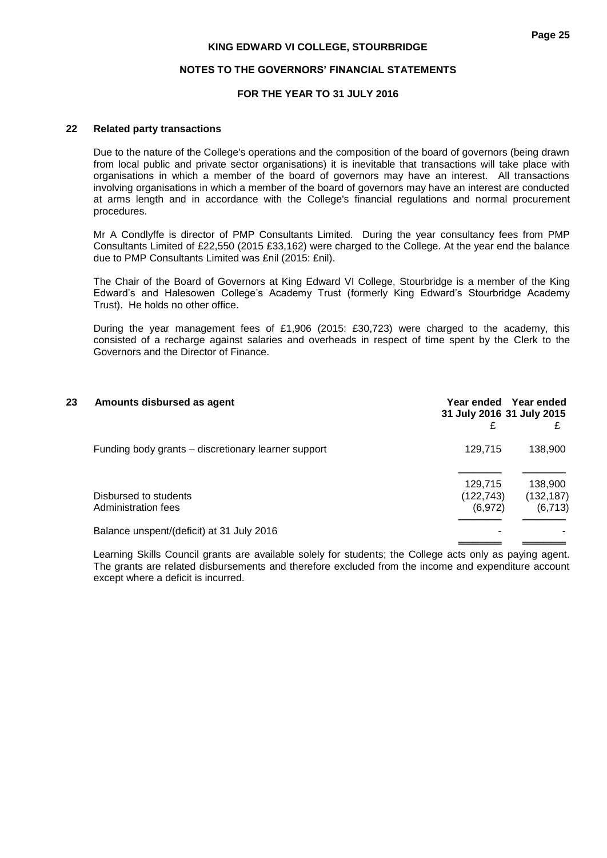## **NOTES TO THE GOVERNORS' FINANCIAL STATEMENTS**

# **FOR THE YEAR TO 31 JULY 2016**

## **22 Related party transactions**

Due to the nature of the College's operations and the composition of the board of governors (being drawn from local public and private sector organisations) it is inevitable that transactions will take place with organisations in which a member of the board of governors may have an interest. All transactions involving organisations in which a member of the board of governors may have an interest are conducted at arms length and in accordance with the College's financial regulations and normal procurement procedures.

Mr A Condlyffe is director of PMP Consultants Limited. During the year consultancy fees from PMP Consultants Limited of £22,550 (2015 £33,162) were charged to the College. At the year end the balance due to PMP Consultants Limited was £nil (2015: £nil).

The Chair of the Board of Governors at King Edward VI College, Stourbridge is a member of the King Edward's and Halesowen College's Academy Trust (formerly King Edward's Stourbridge Academy Trust). He holds no other office.

During the year management fees of £1,906 (2015: £30,723) were charged to the academy, this consisted of a recharge against salaries and overheads in respect of time spent by the Clerk to the Governors and the Director of Finance.

| 23 | Amounts disbursed as agent                          | 31 July 2016 31 July 2015<br>£    | Year ended Year ended             |
|----|-----------------------------------------------------|-----------------------------------|-----------------------------------|
|    | Funding body grants – discretionary learner support | 129,715                           | 138,900                           |
|    | Disbursed to students<br>Administration fees        | 129,715<br>(122, 743)<br>(6, 972) | 138,900<br>(132, 187)<br>(6, 713) |
|    | Balance unspent/(deficit) at 31 July 2016           |                                   |                                   |

Learning Skills Council grants are available solely for students; the College acts only as paying agent. The grants are related disbursements and therefore excluded from the income and expenditure account except where a deficit is incurred.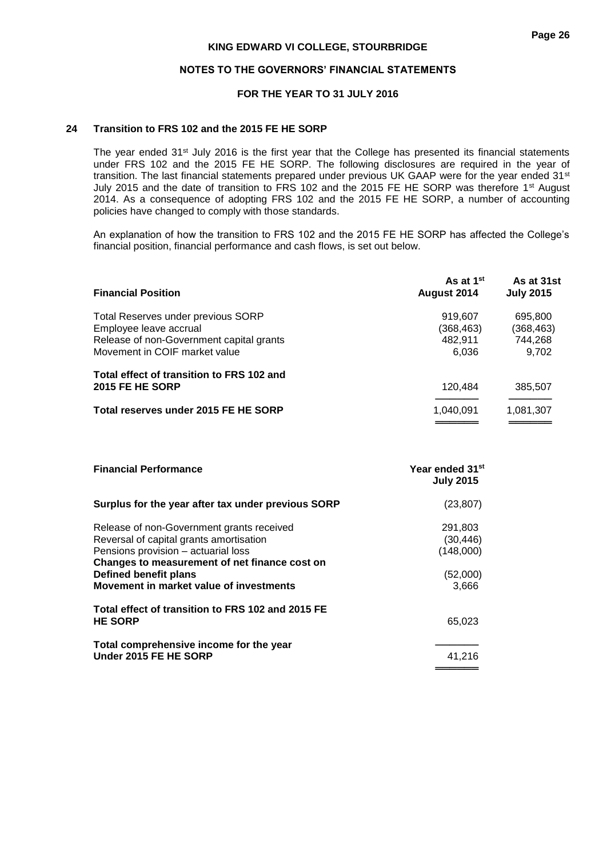## **NOTES TO THE GOVERNORS' FINANCIAL STATEMENTS**

## **FOR THE YEAR TO 31 JULY 2016**

#### **24 Transition to FRS 102 and the 2015 FE HE SORP**

The year ended 31<sup>st</sup> July 2016 is the first year that the College has presented its financial statements under FRS 102 and the 2015 FE HE SORP. The following disclosures are required in the year of transition. The last financial statements prepared under previous UK GAAP were for the year ended 31<sup>st</sup> July 2015 and the date of transition to FRS 102 and the 2015 FE HE SORP was therefore 1<sup>st</sup> August 2014. As a consequence of adopting FRS 102 and the 2015 FE HE SORP, a number of accounting policies have changed to comply with those standards.

An explanation of how the transition to FRS 102 and the 2015 FE HE SORP has affected the College's financial position, financial performance and cash flows, is set out below.

| <b>Financial Position</b>                                                 | As at 1 <sup>st</sup><br>August 2014 | As at 31st<br><b>July 2015</b> |
|---------------------------------------------------------------------------|--------------------------------------|--------------------------------|
| Total Reserves under previous SORP<br>Employee leave accrual              | 919.607<br>(368, 463)                | 695,800<br>(368, 463)          |
| Release of non-Government capital grants<br>Movement in COIF market value | 482,911<br>6,036                     | 744,268<br>9.702               |
| Total effect of transition to FRS 102 and<br>2015 FE HE SORP              | 120,484                              | 385,507                        |
| Total reserves under 2015 FE HE SORP                                      | 1,040,091                            | 1,081,307                      |

| <b>Financial Performance</b>                                                                                                                                                                                                                     | Year ended 31 <sup>st</sup><br><b>July 2015</b>        |
|--------------------------------------------------------------------------------------------------------------------------------------------------------------------------------------------------------------------------------------------------|--------------------------------------------------------|
| Surplus for the year after tax under previous SORP                                                                                                                                                                                               | (23, 807)                                              |
| Release of non-Government grants received<br>Reversal of capital grants amortisation<br>Pensions provision - actuarial loss<br>Changes to measurement of net finance cost on<br>Defined benefit plans<br>Movement in market value of investments | 291,803<br>(30, 446)<br>(148,000)<br>(52,000)<br>3,666 |
| Total effect of transition to FRS 102 and 2015 FE<br><b>HE SORP</b>                                                                                                                                                                              | 65,023                                                 |
| Total comprehensive income for the year<br>Under 2015 FE HE SORP                                                                                                                                                                                 | 41,216                                                 |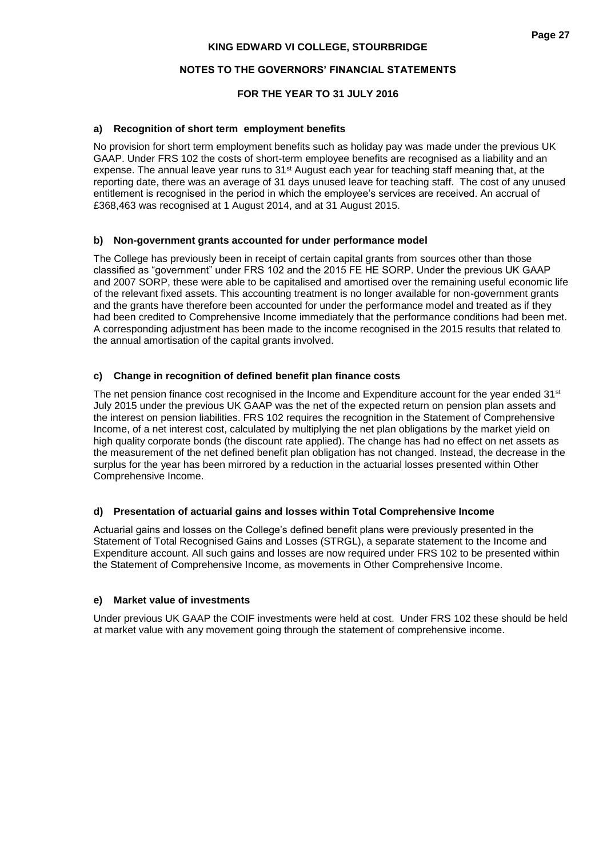# **NOTES TO THE GOVERNORS' FINANCIAL STATEMENTS**

# **FOR THE YEAR TO 31 JULY 2016**

## **a) Recognition of short term employment benefits**

No provision for short term employment benefits such as holiday pay was made under the previous UK GAAP. Under FRS 102 the costs of short-term employee benefits are recognised as a liability and an expense. The annual leave year runs to 31<sup>st</sup> August each year for teaching staff meaning that, at the reporting date, there was an average of 31 days unused leave for teaching staff. The cost of any unused entitlement is recognised in the period in which the employee's services are received. An accrual of £368,463 was recognised at 1 August 2014, and at 31 August 2015.

## **b) Non-government grants accounted for under performance model**

The College has previously been in receipt of certain capital grants from sources other than those classified as "government" under FRS 102 and the 2015 FE HE SORP. Under the previous UK GAAP and 2007 SORP, these were able to be capitalised and amortised over the remaining useful economic life of the relevant fixed assets. This accounting treatment is no longer available for non-government grants and the grants have therefore been accounted for under the performance model and treated as if they had been credited to Comprehensive Income immediately that the performance conditions had been met. A corresponding adjustment has been made to the income recognised in the 2015 results that related to the annual amortisation of the capital grants involved.

# **c) Change in recognition of defined benefit plan finance costs**

The net pension finance cost recognised in the Income and Expenditure account for the year ended  $31<sup>st</sup>$ July 2015 under the previous UK GAAP was the net of the expected return on pension plan assets and the interest on pension liabilities. FRS 102 requires the recognition in the Statement of Comprehensive Income, of a net interest cost, calculated by multiplying the net plan obligations by the market yield on high quality corporate bonds (the discount rate applied). The change has had no effect on net assets as the measurement of the net defined benefit plan obligation has not changed. Instead, the decrease in the surplus for the year has been mirrored by a reduction in the actuarial losses presented within Other Comprehensive Income.

# **d) Presentation of actuarial gains and losses within Total Comprehensive Income**

Actuarial gains and losses on the College's defined benefit plans were previously presented in the Statement of Total Recognised Gains and Losses (STRGL), a separate statement to the Income and Expenditure account. All such gains and losses are now required under FRS 102 to be presented within the Statement of Comprehensive Income, as movements in Other Comprehensive Income.

#### **e) Market value of investments**

Under previous UK GAAP the COIF investments were held at cost. Under FRS 102 these should be held at market value with any movement going through the statement of comprehensive income.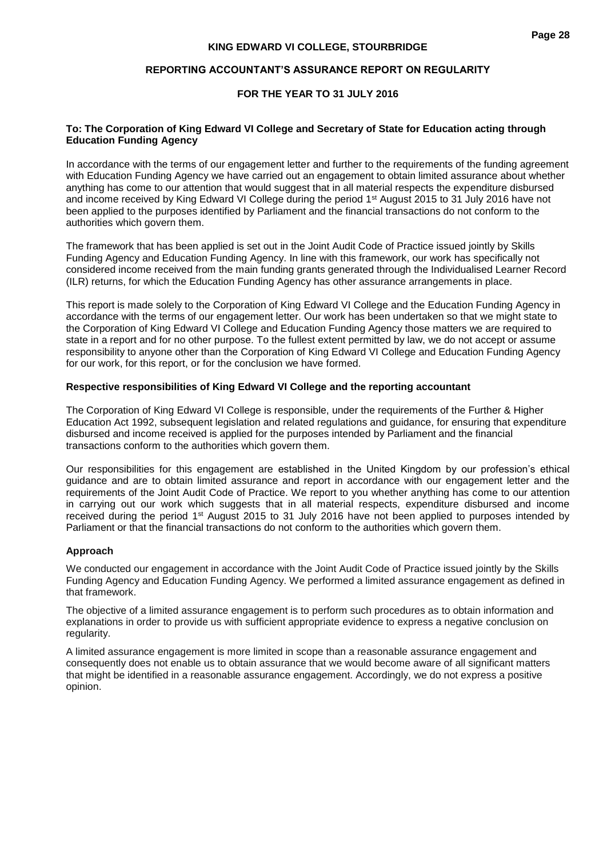## **REPORTING ACCOUNTANT'S ASSURANCE REPORT ON REGULARITY**

## **FOR THE YEAR TO 31 JULY 2016**

## **To: The Corporation of King Edward VI College and Secretary of State for Education acting through Education Funding Agency**

In accordance with the terms of our engagement letter and further to the requirements of the funding agreement with Education Funding Agency we have carried out an engagement to obtain limited assurance about whether anything has come to our attention that would suggest that in all material respects the expenditure disbursed and income received by King Edward VI College during the period 1<sup>st</sup> August 2015 to 31 July 2016 have not been applied to the purposes identified by Parliament and the financial transactions do not conform to the authorities which govern them.

The framework that has been applied is set out in the Joint Audit Code of Practice issued jointly by Skills Funding Agency and Education Funding Agency. In line with this framework, our work has specifically not considered income received from the main funding grants generated through the Individualised Learner Record (ILR) returns, for which the Education Funding Agency has other assurance arrangements in place.

This report is made solely to the Corporation of King Edward VI College and the Education Funding Agency in accordance with the terms of our engagement letter. Our work has been undertaken so that we might state to the Corporation of King Edward VI College and Education Funding Agency those matters we are required to state in a report and for no other purpose. To the fullest extent permitted by law, we do not accept or assume responsibility to anyone other than the Corporation of King Edward VI College and Education Funding Agency for our work, for this report, or for the conclusion we have formed.

# **Respective responsibilities of King Edward VI College and the reporting accountant**

The Corporation of King Edward VI College is responsible, under the requirements of the Further & Higher Education Act 1992, subsequent legislation and related regulations and guidance, for ensuring that expenditure disbursed and income received is applied for the purposes intended by Parliament and the financial transactions conform to the authorities which govern them.

Our responsibilities for this engagement are established in the United Kingdom by our profession's ethical guidance and are to obtain limited assurance and report in accordance with our engagement letter and the requirements of the Joint Audit Code of Practice. We report to you whether anything has come to our attention in carrying out our work which suggests that in all material respects, expenditure disbursed and income received during the period 1st August 2015 to 31 July 2016 have not been applied to purposes intended by Parliament or that the financial transactions do not conform to the authorities which govern them.

#### **Approach**

We conducted our engagement in accordance with the Joint Audit Code of Practice issued jointly by the Skills Funding Agency and Education Funding Agency. We performed a limited assurance engagement as defined in that framework.

The objective of a limited assurance engagement is to perform such procedures as to obtain information and explanations in order to provide us with sufficient appropriate evidence to express a negative conclusion on regularity.

A limited assurance engagement is more limited in scope than a reasonable assurance engagement and consequently does not enable us to obtain assurance that we would become aware of all significant matters that might be identified in a reasonable assurance engagement. Accordingly, we do not express a positive opinion.